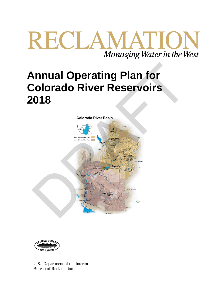# RECLAMATION Managing Water in the West

## **Annual Operating Plan for Colorado River Reservoirs 2018**





U.S. Department of the Interior Bureau of Reclamation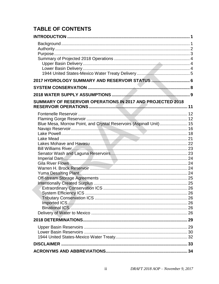## **TABLE OF CONTENTS**

| 2017 HYDROLOGY SUMMARY AND RESERVOIR STATUS  6                     |  |
|--------------------------------------------------------------------|--|
|                                                                    |  |
|                                                                    |  |
| SUMMARY OF RESERVOIR OPERATIONS IN 2017 AND PROJECTED 2018         |  |
| Blue Mesa, Morrow Point, and Crystal Reservoirs (Aspinall Unit) 15 |  |
|                                                                    |  |
|                                                                    |  |
|                                                                    |  |
|                                                                    |  |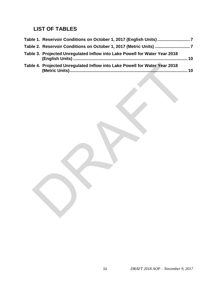## **LIST OF TABLES**

| Table 1. Reservoir Conditions on October 1, 2017 (English Units)7                |
|----------------------------------------------------------------------------------|
| Table 2. Reservoir Conditions on October 1, 2017 (Metric Units) 7                |
| Table 3. Projected Unregulated Inflow into Lake Powell for Water Year 2018<br>10 |
| Table 4. Projected Unregulated Inflow into Lake Powell for Water Year 2018<br>10 |
|                                                                                  |
|                                                                                  |
|                                                                                  |
|                                                                                  |
|                                                                                  |
|                                                                                  |
|                                                                                  |
|                                                                                  |
|                                                                                  |
|                                                                                  |
|                                                                                  |
|                                                                                  |
|                                                                                  |
|                                                                                  |
|                                                                                  |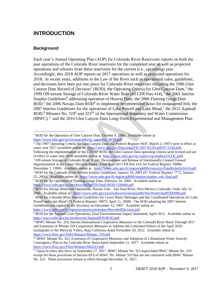### **INTRODUCTION**

#### **Background**

 $\overline{a}$ 

Each year's Annual Operating Plan (AOP) for Colorado River Reservoirs reports on both the past operations of the Colorado River reservoirs for the completed year as well as projected operations and releases from these reservoirs for the current (i.e., upcoming) year. Accordingly, this 2018 AOP reports on 2017 operations as well as projected operations for 2018. In recent years, additions to the Law of the River such as operational rules, guidelines, and decisions have been put into place for Colorado River reservoirs including the 1996 Glen Canyon Dam Record of Decision<sup>1</sup> (ROD), the Operating Criteria for Glen Canyon Dam,<sup>2</sup> the 1999 Off-stream Storage of Colorado River Water Rule (43 CFR Part 414),<sup>3</sup> the 2001 Interim Surplus Guidelines<sup>4</sup> addressing operation of Hoover Dam, the 2006 Flaming Gorge Dam ROD,<sup>5</sup> the 2006 Navajo Dam ROD<sup>6</sup> to implement recommended flows for endangered fish, the 2007 Interim Guidelines for the operations of Lake Powell and Lake Mead,<sup>7</sup> the 2012 Aspinall ROD, $8$  Minutes No. 319 $9$  and 323<sup>10</sup> of the International Boundary and Water Commission  $(BWC)$ ,<sup>11</sup> and the 2016 Glen Canyon Dam Long-Term Experimental and Management Plan past operations of the Colorado [R](https://www.usbr.gov/uc/rm/amp/pdfs/sp_appndxG_ROD.pdf)iver reservoirs for the completed year as well as projected<br>operations and relaces from these reservoirs for the current (i.e., upcoming) year.<br>[A](https://www.gpo.gov/fdsys/pkg/FR-1997-03-03/pdf/97-5144.pdf)ccordingly, this 2018 AOP reports on 2017 o

in effect in water year 2018 (available online at: https://www.usbr.gov/uc/water/crsp/studies/GCOC.pdf). <sup>3</sup> Off-stream Storage of Colorado River Water; Development and Release of Intentionally Created Unused

4 ROD for the Colorado River Interim Surplus Guidelines, January 16, 2001 (67 *Federal Register* 7772, January 25, 2001). Available online at: https://www.usbr.gov/lc/region/g4000/surplus/surplus\_rod\_final.pdf.

<sup>5</sup> ROD for the Operation of Flaming Gorge Dam, February 16, 2006. Available online at: https://www.usbr.gov/uc/envdocs/rod/fgFEIS/final-ROD-15feb06.pdf.

<sup>7</sup> ROD for Colorado River Interim Guidelines for Lower Basin Shortages and the Coordinated Operations for Lake Powell and Lake Mead (73 *Federal Register* 19873, April 11, 2008). The ROD adopting the 2007 Interim Guidelines was signed by the Secretary on December 13, 2007. Available online at: https://www.usbr.gov/lc/region/programs/strategies/RecordofDecision.pdf.

8 ROD for the Aspinall Unit Operations, Final Environmental Impact Statement, April 2012. Available online at: [https://www.usbr.gov/uc/envdocs/eis/AspinallEIS/ROD.pdf.](https://www.usbr.gov/uc/envdocs/eis/AspinallEIS/ROD.pdf) 

<sup>&</sup>lt;sup>1</sup> ROD for the Operation of Glen Canyon Dam, October 9, 1996. Available online at: https://www.usbr.gov/uc/rm/amp/pdfs/sp\_appndxG\_ROD.pdf.

<sup>2</sup> The 1997 Operating Criteria for Glen Canyon Dam (62 *Federal Register* 9447, March 3, 1997) were in effect in water year 2017 (available online at: https://www.gpo.gov/fdsys/pkg/FR-1997-03-03/pdf/97-5144.pdf). Following the implementation of the LTEMP ROD, the Glen Canyon Dam operating criteria were revised and are

Apportionment in the Lower Division States: Final Rule (43 CFR Part 414; 64 *Federal Register* 59006, November 1, 1999). Available online at: https://www.usbr.gov/lc/region/g4000/contracts/FinalRule43cfr414.pdf.

<sup>6</sup> ROD for Navajo Reservoir Operations, Navajo Unit – San Juan River, New Mexico, Colorado, Utah, July 31, 2006. Available online at: https://www.usbr.gov/uc/envdocs/eis/navajo/pdfs/NavWaterOpsROD2006.pdf.

<sup>&</sup>lt;sup>9</sup> IBWC Minute No. 319, Interim International Cooperative Measures in the Colorado River Basin Through 2017 and Extension of Minute 318 Cooperative Measures to Address the Continued Effects of the April 2010 Earthquake in the Mexicali Valley, Baja California dated November 20, 2012. Available online at: https://www.ibwc.gov/Files/Minutes/Minute 319.pdf.

<sup>&</sup>lt;sup>10</sup> IBWC Minute No. 323, Extension of Cooperative Measures and Adoption of a Binational Water Scarcity Contingency Plan in the Colorado River Basin dated September 21, 2017. Available online at: [https://www.ibwc.gov/Files/Minutes/Min323.pdf.](https://www.ibwc.gov/Files/Minutes/Min323.pdf)

<sup>&</sup>lt;sup>11</sup> Upon its entry into force on September 27, 2017, IBWC Minute No. 323 superceded IBWC Minute No. 319 except for those provisions of Section III.6 of IBWC No. Minute 319 that are not consistent with IBWC Minute No. 323. These provisions remain in effect through December 31, 2017.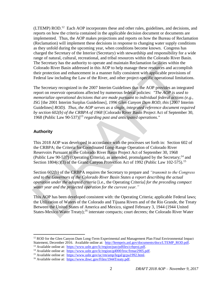(LTEMP) ROD.<sup>12</sup> Each AOP incorporates these and other rules, guidelines, and decisions, and reports on how the criteria contained in the applicable decision document or documents are implemented. Thus, the AOP makes projections and reports on how the Bureau of Reclamation (Reclamation) will implement these decisions in response to changing water supply conditions as they unfold during the upcoming year, when conditions become known. Congress has charged the Secretary of the Interior (Secretary) with stewardship and responsibility for a wide range of natural, cultural, recreational, and tribal resources within the Colorado River Basin. The Secretary has the authority to operate and maintain Reclamation facilities within the Colorado River Basin addressed in this AOP to help manage these resources and accomplish their protection and enhancement in a manner fully consistent with applicable provisions of Federal law including the Law of the River, and other project-specific operational limitations.

The Secretary recognized in the 2007 Interim Guidelines that the AOP provides an integrated report on reservoir operations affected by numerous federal policies: *"The AOP is used to memorialize operational decisions that are made pursuant to individual federal actions (e.g., ISG* [the 2001 Interim Surplus Guidelines]*, 1996 Glen Canyon Dam ROD, this* [2007 Interim Guidelines] *ROD). Thus, the AOP serves as a single, integrated reference document required by section 602(b) of the CRBPA of 1968* [Colorado River Basin Project Act of September 30, 1968 (Public Law 90-537)]<sup>13</sup> *regarding past and anticipated operations."*  The Secretary has the authority to operate and manitan Reclamation factomes within the<br>Colorado River Basin addressed in this AOP to belp manage these resources and accompl<br>their protection and enhancement in a manner ful

#### **Authority**

 $\overline{a}$ 

This 2018 AOP was developed in accordance with the processes set forth in: Section 602 of the CRBPA; the Criteria for Coordinated Long-Range Operation of Colorado River Reservoirs Pursuant to the Colorado River Basin Project Act of September 30, 1968 (Public Law 90-537) (Operating Criteria), as amended, promulgated by the Secretary;<sup>14</sup> and Section 1804(c)(3) of the Grand Canyon Protection Act of 1992 (Public Law 102-575).<sup>15</sup>

Section 602(b) of the CRBPA requires the Secretary to prepare and *"transmit to the Congress and to the Governors of the Colorado River Basin States a report describing the actual operation under the adopted criteria* [i.e., the Operating Criteria] *for the preceding compact water year and the projected operation for the current year."*

This AOP has been developed consistent with: the Operating Criteria; applicable Federal laws; the Utilization of Waters of the Colorado and Tijuana Rivers and of the Rio Grande, the Treaty Between the United States of America and Mexico, signed February 3, 1944 (1944 United States-Mexico Water Treaty);<sup>16</sup> interstate compacts; court decrees; the Colorado River Water

 $12$  ROD for the Glen Canyon Dam Long-Term Experimental and Management Plan Final Environmental Impact Statement, December 2016. Available online at: [http://ltempeis.anl.gov/documents/docs/LTEMP\\_ROD.pdf.](http://ltempeis.anl.gov/documents/docs/LTEMP_ROD.pdf) <sup>13</sup> Available online at: [https://www.usbr.gov/lc/region/pao/pdfiles/crbproj.pdf.](https://www.usbr.gov/lc/region/pao/pdfiles/crbproj.pdf)

<sup>&</sup>lt;sup>14</sup> Available online at: [https://www.usbr.gov/lc/region/g4000/lroc/frmar2905.pdf.](https://www.usbr.gov/lc/region/g4000/lroc/frmar2905.pdf)

<sup>&</sup>lt;sup>15</sup> Available online at: [https://www.usbr.gov/uc/rm/amp/legal/gcpa1992.html.](https://www.usbr.gov/uc/rm/amp/legal/gcpa1992.html)

<sup>&</sup>lt;sup>16</sup> Available online at: https://www.ibwc.gov/Files/1944Treaty.pdf.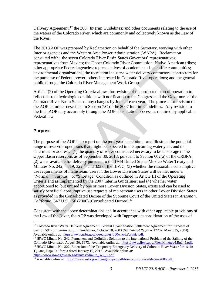Delivery Agreement;<sup>17</sup> the 2007 Interim Guidelines; and other documents relating to the use of the waters of the Colorado River, which are commonly and collectively known as the Law of the River.

The 2018 AOP was prepared by Reclamation on behalf of the Secretary, working with other Interior agencies and the Western Area Power Administration (WAPA). Reclamation consulted with: the seven Colorado River Basin States Governors' representatives; representatives from Mexico; the Upper Colorado River Commission; Native American tribes; other appropriate Federal agencies; representatives of academic and scientific communities; environmental organizations; the recreation industry; water delivery contractors; contractors for the purchase of Federal power; others interested in Colorado River operations; and the general public through the Colorado River Management Work Group.

Article I(2) of the Operating Criteria allows for revision of the projected plan of operation to reflect current hydrologic conditions with notification to the Congress and the Governors of the Colorado River Basin States of any changes by June of each year. The process for revision of the AOP is further described in Section 7.C of the 2007 Interim Guidelines. Any revision to the final AOP may occur only through the AOP consultation process as required by applicable Federal law.

#### **Purpose**

 $\overline{a}$ 

The purpose of the AOP is to report on the past year's operations and illustrate the potential range of reservoir operations that might be expected in the upcoming water year, and to determine or address: (1) the quantity of water considered necessary to be in storage in the Upper Basin reservoirs as of September 30, 2018, pursuant to Section 602(a) of the CRBPA; (2) water available for delivery pursuant to the 1944 United States-Mexico Water Treaty and Minutes No. 242,<sup>18</sup> 319, 322,<sup>19</sup> and 323 of the IBWC; (3) whether the reasonable consumptive use requirements of mainstream users in the Lower Division States will be met under a "Normal," "Surplus," or "Shortage" Condition as outlined in Article III of the Operating Criteria and as implemented by the 2007 Interim Guidelines; and (4) whether water apportioned to, but unused by one or more Lower Division States, exists and can be used to satisfy beneficial consumptive use requests of mainstream users in other Lower Division States as provided in the Consolidated Decree of the Supreme Court of the United States in *Arizona v. California*, 547 U.S. 150 (2006) (Consolidated Decree).<sup>20</sup> representatives from Mexico; the Upper Colorado Kiver Commission; Natroe American transportant peneral agencies; representatives of academic and scientific communities<br>invironmental organizations; the recreation industry;

Consistent with the above determinations and in accordance with other applicable provisions of the Law of the River, the AOP was developed with "appropriate consideration of the uses of

[https://www.ibwc.gov/Files/Minutes/Minute\\_322\\_1.pdf.](https://www.ibwc.gov/Files/Minutes/Minute_322_1.pdf)

<sup>&</sup>lt;sup>17</sup> Colorado River Water Delivery Agreement: Federal Quantification Settlement Agreement for Purposes of Section 5(B) of Interim Surplus Guidelines, October 10, 2003 (69 *Federal Register* 12202, March 15, 2004). Available online at: [https://www.usbr.gov/lc/region/g4000/crwda/crwda.pdf.](https://www.usbr.gov/lc/region/g4000/crwda/crwda.pdf)

<sup>&</sup>lt;sup>18</sup> IBWC Minute No. 242, Permanent and Definitive Solution to the International Problem of the Salinity of the Colorado River dated August 30, 1973. Available online at: [https://www.ibwc.gov/Files/Minutes/Min242.pdf.](https://www.ibwc.gov/Files/Minutes/Min242.pdf) <sup>19</sup> IBWC Minute No. 322, Extension of the Temporary Emergency Delivery of Colorado River Water for use in Tijuana, Baja California dated January 19, 2017. Available online at:

 $\frac{20}{20}$  Available online at: [https://www.usbr.gov/lc/region/pao/pdfiles/scconsolidateddecree2006.pdf.](https://www.usbr.gov/lc/region/pao/pdfiles/scconsolidateddecree2006.pdf)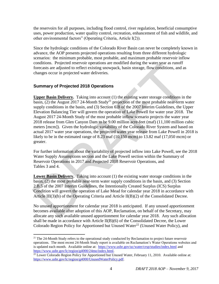the reservoirs for all purposes, including flood control, river regulation, beneficial consumptive uses, power production, water quality control, recreation, enhancement of fish and wildlife, and other environmental factors" (Operating Criteria, Article I(2)).

Since the hydrologic conditions of the Colorado River Basin can never be completely known in advance, the AOP presents projected operations resulting from three different hydrologic scenarios: the minimum probable, most probable, and maximum probable reservoir inflow conditions. Projected reservoir operations are modified during the water year as runoff forecasts are adjusted to reflect existing snowpack, basin storage, flow conditions, and as changes occur in projected water deliveries.

#### **Summary of Projected 2018 Operations**

 $\overline{a}$ 

**Upper Basin Delivery.** Taking into account (1) the existing water storage conditions in the  $\overline{basin}$ , (2) the August 2017 24-Month Study<sup>21</sup> projection of the most probable near-term water supply conditions in the basin, and (3) Section 6.B of the 2007 Interim Guidelines, the Upper Elevation Balancing Tier will govern the operation of Lake Powell for water year 2018. The August 2017 24-Month Study of the most probable inflow scenario projects the water year 2018 release from Glen Canyon Dam to be 9.00 million acre-feet (maf) (11,100 million cubic meters [mcm]). Given the hydrologic variability of the Colorado River System and based on actual 2017 water year operations, the projected water year release from Lake Powell in 2018 is likely to be in the estimated range of 8.23 maf (10,150 mcm) to 13.82 maf (17,050 mcm) or greater. conditions. Propeted reservoir operations are modified during the water year as runoff<br>conditions. Propeted reservoir operations are modified during the water year as runoff<br>chromess are adjusted to reflect existing snowp

For further information about the variability of projected inflow into Lake Powell, see the 2018 Water Supply Assumptions section and the Lake Powell section within the Summary of Reservoir Operations in 2017 and Projected 2018 Reservoir Operations, and Tables 3 and 4.

**Lower Basin Delivery.** Taking into account (1) the existing water storage conditions in the basin, (2) the most probable near-term water supply conditions in the basin, and (3) Section 2.B.5 of the 2007 Interim Guidelines, the Intentionally Created Surplus (ICS) Surplus Condition will govern the operation of Lake Mead for calendar year 2018 in accordance with Article III(3)(b) of the Operating Criteria and Article II(B)(2) of the Consolidated Decree.

No unused apportionment for calendar year 2018 is anticipated. If any unused apportionment becomes available after adoption of this AOP, Reclamation, on behalf of the Secretary, may allocate any such available unused apportionment for calendar year 2018. Any such allocation shall be made in accordance with Article II(B)(6) of the Consolidated Decree, the Lower Colorado Region Policy for Apportioned but Unused Water<sup>22</sup> (Unused Water Policy), and

 $21$  The 24-Month Study refers to the operational study conducted by Reclamation to project future reservoir operations. The most recent 24-Month Study report is available on Reclamation's Water Operations websites and is updated each month. Available online at: [https://www.usbr.gov/uc/water/crsp/studies/index.html a](https://www.usbr.gov/uc/water/crsp/studies/index.html)nd [https://www.usbr.gov/lc/region/g4000/24mo/index.html.](https://www.usbr.gov/lc/region/g4000/24mo/index.html)

 $22$  Lower Colorado Region Policy for Apportioned but Unused Water, February 11, 2010. Available online at: [https://www.usbr.gov/lc/region/g4000/UnusedWaterPolicy.pdf.](https://www.usbr.gov/lc/region/g4000/UnusedWaterPolicy.pdf)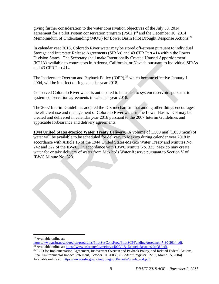giving further consideration to the water conservation objectives of the July 30, 2014 agreement for a pilot system conservation program  $(PSCP)^{23}$  and the December 10, 2014 Memorandum of Understanding (MOU) for Lower Basin Pilot Drought Response Actions.<sup>24</sup>

In calendar year 2018, Colorado River water may be stored off-stream pursuant to individual Storage and Interstate Release Agreements (SIRAs) and 43 CFR Part 414 within the Lower Division States. The Secretary shall make Intentionally Created Unused Apportionment (ICUA) available to contractors in Arizona, California, or Nevada pursuant to individual SIRAs and 43 CFR Part 414.

The Inadvertent Overrun and Payback Policy (IOPP),<sup>25</sup> which became effective January 1, 2004, will be in effect during calendar year 2018.

Conserved Colorado River water is anticipated to be added to system reservoirs pursuant to system conservation agreements in calendar year 2018.

The 2007 Interim Guidelines adopted the ICS mechanism that among other things encourages the efficient use and management of Colorado River water in the Lower Basin. ICS may be created and delivered in calendar year 2018 pursuant to the 2007 Interim Guidelines and applicable forbearance and delivery agreements.

**1944 United States-Mexico Water Treaty Delivery**. A volume of 1.500 maf (1,850 mcm) of water will be available to be scheduled for delivery to Mexico during calendar year 2018 in accordance with Article 15 of the 1944 United States-Mexico Water Treaty and Minutes No. 242 and 322 of the IBWC. In accordance with IBWC Minute No. 323, Mexico may create water for or take delivery of water from Mexico's Water Reserve pursuant to Section V of IBWC Minute No. 323. (ICDA) available to contractors in Arizona, California, or Nevada pursuant to individual X<br>and 43 CFR Part 414.<br>The Inadvertent Overrun and Payback Policy (IOPP),<sup>25</sup> which became effective January 1<br>2004, will be in effe

<sup>23</sup> Available online at:

[https://www.usbr.gov/lc/region/programs/PilotSysConsProg/PilotSCPFundingAgreement7-30-2014.pdf.](https://www.usbr.gov/lc/region/programs/PilotSysConsProg/PilotSCPFundingAgreement7-30-2014.pdf) <sup>24</sup> Available online at: [https://www.usbr.gov/lc/region/g4000/LB\\_DroughtResponseMOU.pdf.](https://www.usbr.gov/lc/region/g4000/LB_DroughtResponseMOU.pdf)

<sup>&</sup>lt;sup>25</sup> ROD for Implementation Agreement, Inadvertent Overrun and Payback Policy, and Related Federal Actions, Final Environmental Impact Statement, October 10, 2003 (69 *Federal Register* 12202, March 15, 2004). Available online at: [https://www.usbr.gov/lc/region/g4000/crwda/crwda\\_rod.pdf.](https://www.usbr.gov/lc/region/g4000/crwda/crwda_rod.pdf)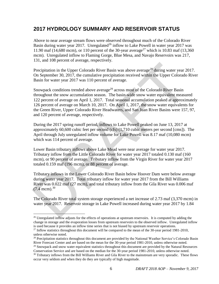## **2017 HYDROLOGY SUMMARY AND RESERVOIR STATUS**

Above to near average stream flows were observed throughout much of the Colorado River Basin during water year 2017. Unregulated<sup>26</sup> inflow to Lake Powell in water year 2017 was 11.90 maf (14,680 mcm), or 110 percent of the 30-year average<sup>27</sup> which is 10.83 maf (13,360) mcm). Unregulated inflow to Flaming Gorge, Blue Mesa, and Navajo Reservoirs was 217, 131, and 108 percent of average, respectively.

Precipitation in the Upper Colorado River Basin was above average<sup>28</sup> during water year 2017. On September 30, 2017, the cumulative precipitation received within the Upper Colorado River Basin for water year 2017 was 110 percent of average.

Snowpack conditions trended above average<sup>29</sup> across most of the Colorado River Basin throughout the snow accumulation season. The basin-wide snow water equivalent measured 122 percent of average on April 1, 2017. Total seasonal accumulation peaked at approximately 126 percent of average on March 10, 2017. On April 1, 2017, the snow water equivalents for the Green River, Upper Colorado River Headwaters, and San Juan River Basins were 157, 97, and 120 percent of average, respectively. Precipitation in the Upper Colorado River Basin was above average<sup>28</sup> during water year 201 September 30, 2017, the cumulative precipitation received within the Upper Colorado Basin for water year 2017 was 110 percent of

During the 2017 spring runoff period, inflows to Lake Powell peaked on June 13, 2017 at approximately 60,600 cubic feet per second (cfs) (1,710 cubic meters per second [cms]). The April through July unregulated inflow volume for Lake Powell was 8.17 maf (10,080 mcm) which was 114 percent of average.

Lower Basin tributary inflows above Lake Mead were near average for water year 2017. Tributary inflow from the Little Colorado River for water year 2017 totaled 0.130 maf (160 mcm), or 90 percent of average. Tributary inflow from the Virgin River for water year 2017 totaled 0.159 maf (196 mcm), or 88 percent of average.

Tributary inflows in the Lower Colorado River Basin below Hoover Dam were below average during water year 2017. Total tributary inflow for water year 2017 from the Bill Williams River was 0.022 maf (27 mcm), and total tributary inflow from the Gila River was 0.006 maf  $(7.4 \text{ mcm})^{30}$ 

The Colorado River total system storage experienced a net increase of 2.73 maf (3,370 mcm) in water year 2017. Reservoir storage in Lake Powell increased during water year 2017 by 1.84

<sup>&</sup>lt;sup>26</sup> Unregulated inflow adjusts for the effects of operations at upstream reservoirs. It is computed by adding the change in storage and the evaporation losses from upstream reservoirs to the observed inflow. Unregulated inflow is used because it provides an inflow time series that is not biased by upstream reservoir operations.

<sup>&</sup>lt;sup>27</sup> Inflow statistics throughout this document will be compared to the mean of the 30-year period 1981-2010, unless otherwise noted.

 $28$  Precipitation statistics throughout this document are provided by the National Weather Service's Colorado Basin River Forecast Center and are based on the mean for the 30-year period 1981-2010, unless otherwise noted. <sup>29</sup> Snowpack and snow water equivalent statistics throughout this document are provided by the Natural Resources

Conservation Service and are based on the median for the 30-year period 1981-2010, unless otherwise noted.

<sup>&</sup>lt;sup>30</sup> Tributary inflows from the Bill Williams River and Gila River to the mainstream are very sporadic. These flows occur very seldom and when they do they are typically of high magnitude.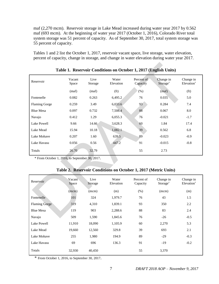maf (2,270 mcm). Reservoir storage in Lake Mead increased during water year 2017 by 0.562 maf (693 mcm). At the beginning of water year 2017 (October 1, 2016), Colorado River total system storage was 51 percent of capacity. As of September 30, 2017, total system storage was 55 percent of capacity.

Tables 1 and 2 list the October 1, 2017, reservoir vacant space, live storage, water elevation, percent of capacity, change in storage, and change in water elevation during water year 2017.

|                                                |                 |                 |                    | Table 1. Reservoir Conditions on October 1, 2017 (English Units) |                       |                         |
|------------------------------------------------|-----------------|-----------------|--------------------|------------------------------------------------------------------|-----------------------|-------------------------|
| Reservoir                                      | Vacant<br>Space | Live<br>Storage | Water<br>Elevation | Percent of<br>Capacity                                           | Change in<br>Storage* | Change in<br>Elevation* |
|                                                | (maf)           | (maf)           | (f <sub>t</sub> )  | (% )                                                             | (maf)                 | (f <sub>t</sub> )       |
| Fontenelle                                     | 0.082           | 0.263           | 6,495.2            | 76                                                               | 0.035                 | 5.0                     |
| <b>Flaming Gorge</b>                           | 0.259           | 3.49            | 6,033.6            | 93                                                               | 0.284                 | 7.4                     |
| <b>Blue Mesa</b>                               | 0.097           | 0.732           | 7,508.4            | 88                                                               | 0.067                 | 8.0                     |
| Navajo                                         | 0.412           | 1.29            | 6,055.3            | 76                                                               | $-0.021$              | $-1.7$                  |
| <b>Lake Powell</b>                             | 9.66            | 14.66           | 3,628.3            | 60                                                               | 1.84                  | 17.4                    |
| Lake Mead                                      | 15.94           | 10.18           | 1,082.1            | 39                                                               | 0.562                 | 6.8                     |
| Lake Mohave                                    | 0.207           | 1.60            | 639.5              | 89                                                               | $-0.023$              | $-0.9$                  |
| Lake Havasu                                    | 0.056           | 0.56            | 447.2              | 91                                                               | $-0.015$              | $-0.8$                  |
| <b>Totals</b>                                  | 26.70           | 32.79           |                    | 55                                                               | 2.73                  |                         |
| * From October 1, 2016, to September 30, 2017. |                 |                 |                    | Table 2. Reservoir Conditions on October 1, 2017 (Metric Units)  |                       |                         |
| Reservoir                                      | Vacant<br>Space | Live<br>Storage | Water<br>Elevation | Percent of<br>Capacity                                           | Change in<br>Storage* | Change in<br>Elevation* |
|                                                | (mcm)           | (mcm)           | (m)                | (% )                                                             | (mcm)                 | (m)                     |
| Fontenelle                                     | 101             | 324             | 1,979.7            | 76                                                               | 43                    | 1.5                     |
| <b>Flaming Gorge</b>                           | 319             | 4,310           | 1,839.1            | 93                                                               | 350                   | 2.2                     |
| <b>Blue Mesa</b>                               | 119             | 903             | 2,288.6            | 88                                                               | 83                    | 2.4                     |
| Navajo                                         | 509             | 1,590           | 1,845.6            | 76                                                               | $-26$                 | $-0.5$                  |

#### **Table 1. Reservoir Conditions on October 1, 2017 (English Units)**

|  |  |  |  |  | Table 2. Reservoir Conditions on October 1, 2017 (Metric Units) |
|--|--|--|--|--|-----------------------------------------------------------------|
|--|--|--|--|--|-----------------------------------------------------------------|

| Reservoir            | Vacant<br>Space | Live<br>Storage | Water<br>Elevation | Percent of<br>Capacity | Change in<br>Storage* | Change in<br>Elevation <sup>*</sup> |
|----------------------|-----------------|-----------------|--------------------|------------------------|-----------------------|-------------------------------------|
|                      | (mcm)           | (mcm)           | (m)                | (% )                   | (mcm)                 | (m)                                 |
| Fontenelle           | 101             | 324             | 1,979.7            | 76                     | 43                    | 1.5                                 |
| <b>Flaming Gorge</b> | 319             | 4,310           | 1,839.1            | 93                     | 350                   | 2.2                                 |
| <b>Blue Mesa</b>     | 119             | 903             | 2,288.6            | 88                     | 83                    | 2.4                                 |
| Navajo               | 509             | 1,590           | 1,845.6            | 76                     | $-26$                 | $-0.5$                              |
| Lake Powell          | 11,910          | 18,090          | 1,105.9            | 60                     | 2,270                 | 5.3                                 |
| Lake Mead            | 19,660          | 12,560          | 329.8              | 39                     | 693                   | 2.1                                 |
| Lake Mohave          | 255             | 1,980           | 194.9              | 89                     | $-29$                 | $-0.3$                              |
| Lake Havasu          | 69              | 696             | 136.3              | 91                     | $-19$                 | $-0.2$                              |
| Totals               | 32,930          | 40,450          |                    | 55                     | 3,370                 |                                     |

\* From October 1, 2016, to September 30, 2017.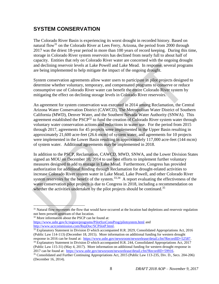## **SYSTEM CONSERVATION**

The Colorado River Basin is experiencing its worst drought in recorded history. Based on natural flow<sup>31</sup> on the Colorado River at Lees Ferry, Arizona, the period from 2000 through 2017 was the driest 18-year period in more than 100 years of record keeping. During this time, storage in Colorado River system reservoirs has declined from nearly full to about half of capacity. Entities that rely on Colorado River water are concerned with the ongoing drought and declining reservoir levels at Lake Powell and Lake Mead. In response, several programs are being implemented to help mitigate the impact of the ongoing drought.

System conservation agreements allow water users to participate in pilot projects designed to determine whether voluntary, temporary, and compensated programs to conserve or reduce consumptive use of Colorado River water can benefit the entire Colorado River system by mitigating the effect on declining storage levels in Colorado River reservoirs.

An agreement for system conservation was executed in 2014 among Reclamation, the Central Arizona Water Conservation District (CAWCD), The Metropolitan Water District of Southern California (MWD), Denver Water, and the Southern Nevada Water Authority (SNWA). This agreement established the PSCP<sup>32</sup> to fund the creation of Colorado River system water through voluntary water conservation actions and reductions in water use. For the period from 2015 through 2017, agreements for 45 projects were implemented in the Upper Basin resulting in approximately 21,600 acre-feet (26.6 mcm) of system water, and agreements for 10 projects were implemented in the Lower Basin resulting in approximately 117,000 acre-feet (144 mcm) of system water. Additional agreements may be implemented in 2018. and declining reservoir levels at Lake Powell and Lake Mead. In response, several progra<br>are being implemented to help mitigate the impact of the ongoing drought.<br>
System conservation agreements allow water users to parti

In addition to the PSCP, Reclamation, CAWCD, MWD, SNWA, and the Lower Division States signed an MOU on December 10, 2014 to use best efforts to implement further voluntary measures designed to add to storage in Lake Mead. Furthermore, Congress has provided authorization for additional funding through Reclamation for drought-related activities to increase Colorado River system water in Lake Mead, Lake Powell, and other Colorado River system reservoirs for the benefit of the system.<sup>33,34</sup> A report evaluating the effectiveness of the water conservation pilot projects is due to Congress in 2018, including a recommendation on whether the activities undertaken by the pilot projects should be continued.<sup>35</sup>

<sup>&</sup>lt;sup>31</sup> Natural flow represents the flow that would have occurred at the location had depletions and reservoir regulation not been present upstream of that location.

<sup>32</sup> More information about the PSCP can be found at: [https://www.usbr.gov/lc/region/programs/PilotSysConsProg/pilotsystem.html a](https://www.usbr.gov/lc/region/programs/PilotSysConsProg/pilotsystem.html)nd [http://www.ucrcommission.com/RepDoc/SCPilotP.html.](http://www.ucrcommission.com/RepDoc/SCPilotP.html) 

<sup>&</sup>lt;sup>33</sup> Explanatory Statement in Division D which accompanied H.R. 2029, Consolidated Appropriations Act, 2016 (Public Law 114-113) (December 18, 2015). More information on additional funding for western drought response in 2016 can be found at: [https://www.usbr.gov/newsroom/newsrelease/detail.cfm?RecordID=52587.](https://www.usbr.gov/newsroom/newsrelease/detail.cfm?RecordID=52587)

<sup>&</sup>lt;sup>34</sup> Explanatory Statement in Division D which accompanied H.R. 244, Consolidated Appropriations Act, 2017 (Public Law 115-31) (May 4, 2017). More information on additional funding for western drought response in 2017 can be found at: [https://www.usbr.gov/newsroom/newsrelease/detail.cfm?RecordID=59916.](https://www.usbr.gov/newsroom/newsrelease/detail.cfm?RecordID=59916)

<sup>35</sup> Consolidated and Further Continuing Appropriations Act, 2015 (Public Law 113-235, Div. D., Secs. 204-206) (December 16, 2014).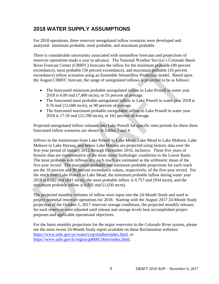## **2018 WATER SUPPLY ASSUMPTIONS**

For 2018 operations, three reservoir unregulated inflow scenarios were developed and analyzed: minimum probable, most probable, and maximum probable.

There is considerable uncertainty associated with streamflow forecasts and projections of reservoir operations made a year in advance. The National Weather Service's Colorado Basin River Forecast Center (CBRFC) forecasts the inflow for the minimum probable (90 percent exceedance), most probable (50 percent exceedance), and maximum probable (10 percent exceedance) inflow scenarios using an Ensemble Streamflow Prediction model. Based upon the August CBRFC forecast, the range of unregulated inflows is projected to be as follows:

- The forecasted minimum probable unregulated inflow to Lake Powell in water year 2018 is 6.00 maf (7,400 mcm), or 55 percent of average.
- The forecasted most probable unregulated inflow to Lake Powell in water year 2018 is 9.76 maf (12,040 mcm), or 90 percent of average.
- The forecasted maximum probable unregulated inflow to Lake Powell in water year 2018 is 17.50 maf (21,590 mcm), or 162 percent of average.

Projected unregulated inflow volumes into Lake Powell for specific time periods for these three forecasted inflow scenarios are shown in Tables 3 and 4.

Inflows to the mainstream from Lake Powell to Lake Mead, Lake Mead to Lake Mohave, Lake Mohave to Lake Havasu, and below Lake Havasu are projected using historic data over the five-year period of January 2012 through December 2016, inclusive. These five years of historic data are representative of the most recent hydrologic conditions in the Lower Basin. The most probable side inflows into each reach are estimated as the arithmetic mean of the five-year record. The maximum probable and minimum probable projections for each reach are the 10 percent and 90 percent exceedance values, respectively, of the five-year record. For the reach from Lake Powell to Lake Mead, the minimum probable inflow during water year 2018 is 0.682 maf (841 mcm), the most probable inflow is 0.757 maf (934 mcm), and the maximum probable inflow is 0.831 maf (1,030 mcm). River Forecast Center (CBRFC) forecasts the inflow for the minimum probable (90 percet<br>execedance) mstorpolable (50 percent scxeedance) inflow scenarios using an Ensemble Streamflow Prediction model. It opercent<br>exceedanc

The projected monthly volumes of inflow were input into the 24-Month Study and used to project potential reservoir operations for 2018. Starting with the August 2017 24-Month Study projection of the October 1, 2017 reservoir storage conditions, the projected monthly releases for each reservoir were adjusted until release and storage levels best accomplished project purposes and applicable operational objectives.

For the latest monthly projections for the major reservoirs in the Colorado River system, please see the most recent 24-Month Study report available on these Reclamation websites: [https://www.usbr.gov/uc/water/crsp/studies/index.html,](https://www.usbr.gov/uc/water/crsp/studies/index.html) or <https://www.usbr.gov/lc/region/g4000/24mo/index.html>.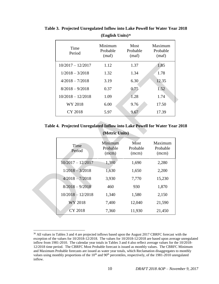| Time<br>Period      | Minimum<br>Probable<br>(maf) | Most<br>Probable<br>(maf) | Maximum<br>Probable<br>(maf) |
|---------------------|------------------------------|---------------------------|------------------------------|
| $10/2017 - 12/2017$ | 1.12                         | 1.37                      | 1.85                         |
| $1/2018 - 3/2018$   | 1.32                         | 1.34                      | 1.78                         |
| $4/2018 - 7/2018$   | 3.19                         | 6.30                      | 12.35                        |
| $8/2018 - 9/2018$   | 0.37                         | 0.75                      | 1.52                         |
| $10/2018 - 12/2018$ | 1.09                         | 1.28                      | 1.74                         |
| WY 2018             | 6.00                         | 9.76                      | 17.50                        |
| CY 2018             | 5.97                         | 9.67                      | 17.39                        |

**Table 3. Projected Unregulated Inflow into Lake Powell for Water Year 2018 (English Units)<sup>36</sup>**

**Table 4. Projected Unregulated Inflow into Lake Powell for Water Year 2018 (Metric Units)** 

| $10/2017 - 12/2017$                                                        | 1.12                         | 1.37                      | 1.85                         |
|----------------------------------------------------------------------------|------------------------------|---------------------------|------------------------------|
| $1/2018 - 3/2018$                                                          | 1.32                         | 1.34                      | 1.78                         |
| $4/2018 - 7/2018$                                                          | 3.19                         | 6.30                      | 12.35                        |
| $8/2018 - 9/2018$                                                          | 0.37                         | 0.75                      | 1.52                         |
| $10/2018 - 12/2018$                                                        | 1.09                         | 1.28                      | 1.74                         |
| WY 2018                                                                    | 6.00                         | 9.76                      | 17.50                        |
| CY 2018                                                                    | 5.97                         | 9.67                      | 17.39                        |
|                                                                            |                              |                           |                              |
| Table 4. Projected Unregulated Inflow into Lake Powell for Water Year 2018 | (Metric Units)               |                           |                              |
| Time<br>Period                                                             | Minimum<br>Probable<br>(mcm) | Most<br>Probable<br>(mcm) | Maximum<br>Probable<br>(mcm) |
| $10/2017 - 12/2017$                                                        | 1,380                        | 1,690                     | 2,280                        |
| $1/2018 - 3/2018$                                                          | 1,630                        | 1,650                     | 2,200                        |
| $4/2018 - 7/2018$                                                          | 3,930                        | 7,770                     | 15,230                       |
| $8/2018 - 9/2018$                                                          | 460                          | 930                       | 1,870                        |
| $10/2018 - 12/2018$                                                        | 1,340                        | 1,580                     | 2,150                        |
| WY 2018                                                                    | 7,400                        | 12,040                    | 21,590                       |

<sup>36</sup> All values in Tables 3 and 4 are projected inflows based upon the August 2017 CBRFC forecast with the exception of the values for 10/2018-12/2018. The values for 10/2018-12/2018 are based upon average unregulated inflow from 1981-2010. The calendar year totals in Tables 3 and 4 also reflect average values for the 10/2018- 12/2018 time period. The CBRFC Most Probable forecast is issued as monthly values. The CBRFC Minimum and Maximum Probable forecasts are issued as water year totals, which Reclamation disaggregates to monthly values using monthly proportions of the  $10<sup>th</sup>$  and  $90<sup>th</sup>$  percentiles, respectively, of the  $1981-2010$  unregulated inflow.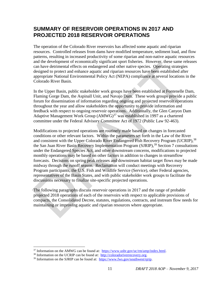## **SUMMARY OF RESERVOIR OPERATIONS IN 2017 AND PROJECTED 2018 RESERVOIR OPERATIONS**

The operation of the Colorado River reservoirs has affected some aquatic and riparian resources. Controlled releases from dams have modified temperature, sediment load, and flow patterns, resulting in increased productivity of some riparian and non-native aquatic resources and the development of economically significant sport fisheries. However, these same releases can have detrimental effects on endangered and other native species. Operating strategies designed to protect and enhance aquatic and riparian resources have been established after appropriate National Environmental Policy Act (NEPA) compliance at several locations in the Colorado River Basin.

In the Upper Basin, public stakeholder work groups have been established at Fontenelle Dam, Flaming Gorge Dam, the Aspinall Unit, and Navajo Dam. These work groups provide a public forum for dissemination of information regarding ongoing and projected reservoir operations throughout the year and allow stakeholders the opportunity to provide information and feedback with respect to ongoing reservoir operations. Additionally, the Glen Canyon Dam Adaptive Management Work Group  $(AMWG)^{37}$  was established in 1997 as a chartered committee under the Federal Advisory Committee Act of 1972 (Public Law 92-463).

Modifications to projected operations are routinely made based on changes in forecasted conditions or other relevant factors. Within the parameters set forth in the Law of the River and consistent with the Upper Colorado River Endangered Fish Recovery Program (UCRIP),<sup>38</sup> the San Juan River Basin Recovery Implementation Program (SJRIP),  $39$  Section 7 consultations under the Endangered Species Act, and other downstream concerns, modifications to projected monthly operations may be based on other factors in addition to changes in streamflow forecasts. Decisions on spring peak releases and downstream habitat target flows may be made midway through the runoff season. Reclamation will conduct meetings with Recovery Program participants, the U.S. Fish and Wildlife Service (Service), other Federal agencies, representatives of the Basin States, and with public stakeholder work groups to facilitate the discussions necessary to finalize site-specific projected operations. and the co-topinality of consultant spontations of the case and a have detrimental effects on endangered and other native species. Operating strategies can have detrimental effects on endangered and other native species. O

The following paragraphs discuss reservoir operations in 2017 and the range of probable projected 2018 operations of each of the reservoirs with respect to applicable provisions of compacts, the Consolidated Decree, statutes, regulations, contracts, and instream flow needs for maintaining or improving aquatic and riparian resources where appropriate.

 $37$  Information on the AMWG can be found at: [https://www.usbr.gov/uc/rm/amp/index.html.](https://www.usbr.gov/uc/rm/amp/index.html)

<sup>38</sup> Information on the UCRIP can be found at: [http://coloradoriverrecovery.org.](http://coloradoriverrecovery.org/)

<sup>&</sup>lt;sup>39</sup> Information on the SJRIP can be found at: [https://www.fws.gov/southwest/sjrip.](https://www.fws.gov/southwest/sjrip)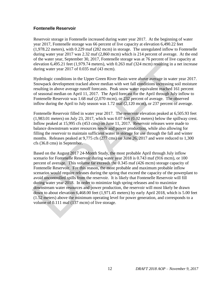#### **Fontenelle Reservoir**

Reservoir storage in Fontenelle increased during water year 2017. At the beginning of water year 2017, Fontenelle storage was 66 percent of live capacity at elevation 6,490.22 feet (1,978.22 meters), with 0.229 maf (282 mcm) in storage. The unregulated inflow to Fontenelle during water year 2017 was 2.32 maf (2,860 mcm) which is 214 percent of average. At the end of the water year, September 30, 2017, Fontenelle storage was at 76 percent of live capacity at elevation 6,495.21 feet (1,979.74 meters), with 0.263 maf (324 mcm) resulting in a net increase during water year 2017 of 0.035 maf (43 mcm).

Hydrologic conditions in the Upper Green River Basin were above average in water year 2017. Snowpack development tracked above median with wet fall conditions increasing soil moisture resulting in above average runoff forecasts. Peak snow water equivalent reached 161 percent of seasonal median on April 11, 2017. The April forecast for the April through July inflow to Fontenelle Reservoir was 1.68 maf (2,070 mcm), or 232 percent of average. The observed inflow during the April to July season was 1.72 maf (2,120 mcm), or 237 percent of average.

Fontenelle Reservoir filled in water year 2017. The reservoir elevation peaked at 6,505.93 feet (1,983.01 meters) on July 23, 2017, which was 0.07 feet (0.02 meters) below the spillway crest. Inflow peaked at 15,995 cfs (453 cms) on June 11, 2017. Reservoir releases were made to balance downstream water resources needs and power production, while also allowing for filling the reservoir to maintain sufficient water in storage for use through the fall and winter months. Releases peaked at 9,775 cfs (277 cms) on June 26, 2017 and were reduced to 1,300 cfs (36.8 cms) in September.

Based on the August 2017 24-Month Study, the most probable April through July inflow scenario for Fontenelle Reservoir during water year 2018 is 0.743 maf (916 mcm), or 100 percent of average. This volume far exceeds the 0.345 maf (426 mcm) storage capacity of Fontenelle Reservoir. For this reason, the most probable and maximum probable inflow scenarios would require releases during the spring that exceed the capacity of the powerplant to avoid uncontrolled spills from the reservoir. It is likely that Fontenelle Reservoir will fill during water year 2018. In order to minimize high spring releases and to maximize downstream water resources and power production, the reservoir will most likely be drawn down to about elevation 6,468.00 feet (1,971.45 meters) by early April 2018, which is 5.00 feet (1.52 meters) above the minimum operating level for power generation, and corresponds to a volume of 0.111 maf (137 mcm) of live storage. elevation 6.495.21 feet (1.979.74 meters), with 0.263 maf (324 mcm) resulting in a net in<br>during water year 2017 of 0.035 maf (43 mcm).<br>Hydrologic conditions in the Upper Green River Basin were above we<br>reage in water yea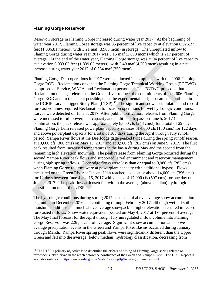#### **Flaming Gorge Reservoir**

 $\overline{a}$ 

Reservoir storage in Flaming Gorge increased during water year 2017. At the beginning of water year 2017, Flaming Gorge storage was 85 percent of live capacity at elevation 6,026.27 feet (1,836.81 meters), with 3.21 maf (3,960 mcm) in storage. The unregulated inflow to Flaming Gorge during water year 2017 was 3.15 maf (3,890 mcm) which is 217 percent of average. At the end of the water year, Flaming Gorge storage was at 94 percent of live capacity at elevation 6,033.63 feet (1,839.05 meters), with 3.49 maf (4,300 mcm) resulting in a net increase during water year 2017 of 0.284 maf (350 mcm).

Flaming Gorge Dam operations in 2017 were conducted in compliance with the 2006 Flaming Gorge ROD. Reclamation convened the Flaming Gorge Technical Working Group (FGTWG) comprised of Service, WAPA, and Reclamation personnel. The FGTWG proposed that Reclamation manage releases to the Green River to meet the commitments of the 2006 Flaming Gorge ROD and, to the extent possible, meet the experimental design parameters outlined in the UCRIP Larval Trigger Study Plan (LTSP).<sup>40</sup> The significant snow accumulation and record forecast volumes required Reclamation to focus on operations for wet hydrologic conditions. Larvae were detected on June 3, 2017. After public notification, releases from Flaming Gorge were increased to full powerplant capacity and additional bypass on June 5, 2017 (in combination, the peak release was approximately 8,600 cfs [243 cms]) for a total of 29 days. Flaming Gorge Dam released powerplant capacity releases of 4,600 cfs (130 cms) for 122 days and above powerplant capacity for a total of 103 days during the April through July runoff period. Yampa River flows at the Deerlodge gage peaked twice during the spring runoff season, at 10,600 cfs (300 cms) on May 15, 2017 and at 9,980 cfs (282 cms) on June 9, 2017. The first peak resulted from increased temperatures in the basin during May and the second from the remaining high elevation snowmelt. The peak release from Flaming Gorge occurred during the second Yampa River peak flows and supported larval entrainment and reservoir management during high spring inflows. Deerlodge flows were less than or equal to 9,980 cfs (282 cms) when Flaming Gorge releases were at powerplant capacity with additional bypass. Flows measured on the Green River at Jensen, Utah reached levels at or above 14,000 cfs (396 cms) for 12 days between June 4 and 15, 2017 with a peak of 17,900 cfs (507 cms) for one day on June 9, 2017. The peak flow at Jensen fell within the average (above median) hydrologic classification under the LTSP. at elevation 6,033.63 feet (1,839.05 meters), with 3.49 maf (4,300 mcm) resulting in a net<br>increase during Gorge Ron persintens in 2017 or 0.284 maf (350 mcm).<br>Flaming Gorge Ron Reduction converted the Flaming Gorge Techn

The hydrologic conditions during spring 2017 consisted of above average snow accumulation beginning in December 2016 and continuing through February 2017, although wet fall soil moisture conditions and much above average snowpack in higher elevations resulted in record forecasted inflows. Snow water equivalent peaked on May 4, 2017 at 194 percent of average. The May final forecast for the April through July unregulated inflow volume into Flaming Gorge Reservoir was 226 percent of average. Significant snow accumulation and above average precipitation events in the Green and Yampa River Basins occurred during January through March. Yampa River spring peak flows were significantly different than the Upper Green and fell into the average (below median) hydrology classification, decreasing from

<sup>&</sup>lt;sup>40</sup> The LTSP's primary objective is to determine the effects of timing of Flaming Gorge spring release on razorback sucker larvae in the reach below the confluence of the Green and Yampa Rivers. The LTSP Report is available online at: [https://www.usbr.gov/uc/water/crsp/wg/fg/twg/twgSummaries.html.](https://www.usbr.gov/uc/water/crsp/wg/fg/twg/twgSummaries.html)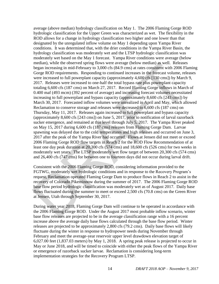average (above median) hydrology classification on May 1. The 2006 Flaming Gorge ROD hydrologic classification for the Upper Green was characterized as wet. The flexibility in the ROD allows for a change in hydrology classification two higher and one lower than that designated by the unregulated inflow volume on May 1 depending upon Yampa River conditions. It was determined that, with the drier conditions in the Yampa River Basin, the hydrology classification was moderately wet and the LTSP hydrologic classification was moderately wet based on the May 1 forecast. Yampa River conditions were average (below median), while the observed spring flows were average (below median) as well. Releases began increasing in mid-February to 3,000 cfs (84.9 cms) at rates consistent with 2006 Flaming Gorge ROD requirements. Responding to continued increases in the forecast volume, releases were increased to full powerplant capacity (approximately 4,600 cfs [130 cms]) by March 9, 2017. Releases were increased to one-half the total bypass rate plus powerplant capacity totaling 6,600 cfs (187 cms) on March 27, 2017. Record Flaming Gorge inflows in March of 0.400 maf (493 mcm) (392 percent of average) and increasing forecast volumes necessitated increasing to full powerplant and bypass capacity (approximately 8,600 cfs [243 cms]) by March 30, 2017. Forecasted inflow volumes were unrealized in April and May, which allowed Reclamation to conserve storage and releases were decreased to 6,600 cfs (187 cms) on Thursday, May 11, 2017. Releases again increased to full powerplant and bypass capacity (approximately 8,600 cfs [243 cms]) on June 5, 2017, prior to notification of larval razorback sucker emergence, and remained at this level through July 5, 2017. The Yampa River peaked on May 15, 2017 during 6,600 cfs (187 cms) releases from Flaming Gorge Dam. Larvae spawning was delayed due to the cold temperatures and high releases and occurred on June 3, 2017 after the peak of the Yampa River had occurred. Flows at Jensen did not meet or exceed 2006 Flaming Gorge ROD flow targets in Reach 2 for the ROD Flow Recommendation of at least one day peak duration at 20,300 cfs (574 cms) and 18,600 cfs (526 cms) for two weeks in moderately wet years. The LTSP moderately wet flow target of between 20,300 cfs (574 cms) and 26,400 cfs (747 cms) for between one to fourteen days did not occur during larval drift. neatian, while the observed spring flows were average (below neckina) as well. Releases began increasing in mid-February to 3,000 cfs (84.9 cms) at rates consistent with 2006 FHs Gorge ROD requirements. Responding to cont

Consistent with the 2006 Flaming Gorge ROD, considering information provided to the FGTWG, moderately wet hydrologic conditions and in response to the Recovery Program's request, Reclamation operated Flaming Gorge Dam to produce flows in Reach 2 to assist in the recovery of Colorado Pikeminnow during the summer of 2017. The 2006 Flaming Gorge ROD base flow period hydrologic classification was moderately wet as of August 2017. Daily base flows fluctuated during the summer to meet or exceed 2,500 cfs (70.8 cms) on the Green River at Jensen, Utah through September 30, 2017.

During water year 2018, Flaming Gorge Dam will continue to be operated in accordance with the 2006 Flaming Gorge ROD. Under the August 2017 most probable inflow scenario, winter base flow releases are projected to be in the average classification range with a 16 percent increase above the average daily base flows calculated through the base flow period. Winter releases are projected to be approximately 2,800 cfs (79.2 cms). Daily base flows will likely fluctuate during the winter in response to hydropower needs during November through February and meet the average-year reservoir upper level drawdown elevation target of 6,027.00 feet (1,837.03 meters) by May 1, 2018. A spring peak release is projected to occur in May or June 2018, and will be timed to coincide with either the peak flows of the Yampa River or emergence of razorback sucker larvae. Reclamation is considering long-term implementation strategies for the Recovery Program LTSP.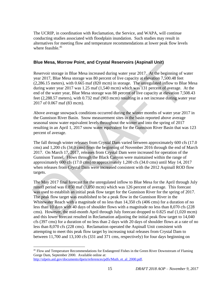The UCRIP, in coordination with Reclamation, the Service, and WAPA, will continue conducting studies associated with floodplain inundation. Such studies may result in alternatives for meeting flow and temperature recommendations at lower peak flow levels where feasible. $41$ 

#### **Blue Mesa, Morrow Point, and Crystal Reservoirs (Aspinall Unit)**

Reservoir storage in Blue Mesa increased during water year 2017. At the beginning of water year 2017, Blue Mesa storage was 80 percent of live capacity at elevation 7,500.48 feet (2,286.15 meters), with 0.665 maf (820 mcm) in storage. The unregulated inflow to Blue Mesa during water year 2017 was 1.25 maf (1,540 mcm) which was 131 percent of average. At the end of the water year, Blue Mesa storage was 88 percent of live capacity at elevation 7,508.43 feet (2,288.57 meters), with 0.732 maf (903 mcm) resulting in a net increase during water year 2017 of 0.067 maf (83 mcm).

Above average snowpack conditions occurred during the winter months of water year 2017 in the Gunnison River Basin. Snow measurement sites in the basin reported above average seasonal snow water equivalent levels throughout the winter and into the spring of 2017 resulting in an April 1, 2017 snow water equivalent for the Gunnison River Basin that was 123 percent of average.

The fall through winter releases from Crystal Dam varied between approximately 600 cfs (17.0 cms) and 1,200 cfs (34.0 cms) from the beginning of November 2016 through the end of March 2017. On March 17, 2017, releases from Crystal Dam were increased for operation of the Gunnison Tunnel. Flows through the Black Canyon were maintained within the range of approximately 600 cfs (17.0 cms) to approximately 1,200 cfs (34.0 cms) until May 14, 2017 when releases from Crystal Dam were increased consistent with the 2012 Aspinall ROD flow targets.

The May 2017 final forecast for the unregulated inflow to Blue Mesa for the April through July runoff period was 0.850 maf (1,050 mcm) which was 126 percent of average. This forecast was used to establish an initial peak flow target for the Gunnison River for the spring of 2017. The peak flow target was established to be a peak flow in the Gunnison River in the Whitewater Reach with a magnitude of no less than 14,350 cfs (406 cms) for a duration of no less than 10 days with 40 days of shoulder flows with a magnitude no less than 8,070 cfs (228 cms). However, the mid-month April through July forecast dropped to 0.825 maf (1,020 mcm) and this lower forecast resulted in Reclamation adjusting the initial peak flow target to 14,040 cfs (397 cms) for a duration of no less than 2 days with 20 days of shoulder flows at a rate of no less than 8,070 cfs (228 cms). Reclamation operated the Aspinall Unit consistent with attempting to meet this peak flow target by increasing total releases from Crystal Dam to between 11,700 and 13,100 cfs (331 and 371 cms, respectively) for four days beginning on **EXECUTE THE SET ASSEM ASSEM ASSEMUATE (ASSEMBLY TO REFORM IN THE RESPANDINGLY (SEE 10.7). BLEW RASS SIGNATE (2.286.15 meters), with 0.065 mat (8.20 mem) in storage. The unregulated inflow to Blue (2.286.15 meters), with** 

<sup>&</sup>lt;sup>41</sup> Flow and Temperature Recommendations for Endangered Fishes in the Green River Downstream of Flaming Gorge Dam, September 2000. Available online at: [http://ulpeis.anl.gov/documents/dpeis/references/pdfs/Muth\\_et\\_al\\_2000.pdf.](http://ulpeis.anl.gov/documents/dpeis/references/pdfs/Muth_et_al_2000.pdf)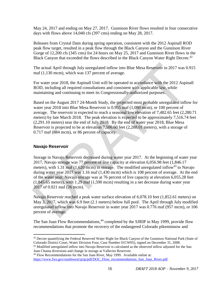May 24, 2017 and ending on May 27, 2017. Gunnison River flows resulted in four consecutive days with flows above 14,040 cfs (397 cms) ending on May 28, 2017.

Releases from Crystal Dam during spring operation, consistent with the 2012 Aspinall ROD peak flow target, resulted in a peak flow through the Black Canyon and the Gunnison River Gorge of 12,200 cfs (345 cms) for 24 hours on May 25, 2017 and Gunnison River flows in the Black Canyon that exceeded the flows described in the Black Canyon Water Right Decree.<sup>42</sup>

The actual April through July unregulated inflow into Blue Mesa Reservoir in 2017 was 0.915 maf (1,130 mcm), which was 137 percent of average.

For water year 2018, the Aspinall Unit will be operated in accordance with the 2012 Aspinall ROD, including all required consultations and consistent with applicable law, while maintaining and continuing to meet its Congressionally-authorized purposes.

Based on the August 2017 24-Month Study, the projected most probable unregulated inflow for water year 2018 into Blue Mesa Reservoir is 0.955 maf (1,080 mcm), or 100 percent of average. The reservoir is expected to reach a seasonal low elevation of 7,482.65 feet (2,280.71 meters) by late March 2018. The peak elevation is expected to be approximately 7,516.74 feet (2,291.10 meters) near the end of July 2018. By the end of water year 2018, Blue Mesa Reservoir is projected to be at elevation 7,506.60 feet (2,288.01 meters), with a storage of 0.717 maf (884 mcm), or 86 percent of capacity.

#### **Navajo Reservoir**

 $\overline{a}$ 

Storage in Navajo Reservoir decreased during water year 2017. At the beginning of water year 2017, Navajo storage was 77 percent of live capacity at elevation 6,056.98 feet (1,846.17 meters), with 1.31 maf (1,620 mcm) in storage. The modified unregulated inflow<sup>43</sup> to Navajo during water year 2017 was 1.16 maf (1,430 mcm) which is 108 percent of average. At the end of the water year, Navajo storage was at 76 percent of live capacity at elevation 6,055.28 feet (1,845.65 meters), with 1.29 maf (1,590 mcm) resulting in a net decrease during water year 2017 of 0.021 maf (26 mcm). The actual April through July unregulated inflow into Blue Mesa Reservoir in 2017 was 0<br>maf (1,130 mcm), which was 137 percent of average.<br>For water year 2018, the Aspinall Unit will be operated in accordance with the 201

Navajo Reservoir reached a peak water surface elevation of 6,078.10 feet (1,852.61 meters) on May 3, 2017, which was 6.9 feet (2.1 meters) below full pool. The April through July modified unregulated inflow into Navajo Reservoir in water year 2017 was 0.776 maf (957 mcm), or 106 percent of average.

The San Juan Flow Recommendations,<sup>44</sup> completed by the SJRIP in May 1999, provide flow recommendations that promote the recovery of the endangered Colorado pikeminnow and

 $42$  Decree quantifying the Federal Reserved Water Right for Black Canyon of the Gunnison National Park (State of Colorado District Court, Water Division Four, Case Number 01CW05), signed on December 31, 2008.

<sup>&</sup>lt;sup>43</sup> Modified unregulated inflow into Navajo Reservoir is calculated as the observed inflow adjusted for the San Juan Chama diversions and change in storage at Vallecito Reservoir.

<sup>44</sup> Flow Recommendations for the San Juan River, May 1999. Available online at: [https://www.fws.gov/southwest/sjrip/pdf/DOC\\_Flow\\_recommendations\\_San\\_Juan\\_River.pdf.](https://www.fws.gov/southwest/sjrip/pdf/DOC_Flow_recommendations_San_Juan_River.pdf)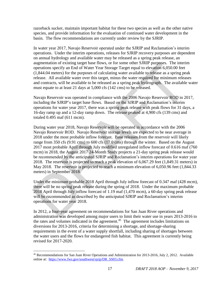razorback sucker, maintain important habitat for these two species as well as the other native species, and provide information for the evaluation of continued water development in the basin. The flow recommendations are currently under review by the SJRIP.

In water year 2017, Navajo Reservoir operated under the SJRIP and Reclamation's interim operations. Under the interim operations, releases for SJRIP recovery purposes are dependent on annual hydrology and available water may be released as a spring peak release, an augmentation of existing target base flows, or for some other SJRIP purposes. The interim operations specify an End of Water Year Storage Target equal to elevation 6,050.00 feet (1,844.04 meters) for the purposes of calculating water available to release as a spring peak release. All available water over this target, minus the water required for minimum releases and contracts, will be available to be released as a spring peak hydrograph. The available water must equate to at least 21 days at 5,000 cfs (142 cms) to be released.

Navajo Reservoir was operated in compliance with the 2006 Navajo Reservoir ROD in 2017, including the SJRIP's target base flows. Based on the SJRIP and Reclamation's interim operations for water year 2017, there was a spring peak release with peak flows for 31 days, a 16-day ramp up and a 12-day ramp down. The release peaked at 4,900 cfs (139 cms) and totaled 0.495 maf (611 mcm).

During water year 2018, Navajo Reservoir will be operated in accordance with the 2006 Navajo Reservoir ROD. Navajo Reservoir storage levels are expected to be near average in 2018 under the most probable inflow forecast. Base releases from the reservoir will likely range from 350 cfs (9.91 cms) to 600 cfs (17.0 cms) through the winter. Based on the August 2017 most probable April through July modified unregulated inflow forecast of 0.616 maf (760 mcm) in 2018, the August 2017 24-Month Study projects a 21-day spring peak release would be recommended by the anticipated SJRIP and Reclamation's interim operations for water year 2018. The reservoir is projected to reach a peak elevation of 6,067.29 feet (1,849.31 meters) in May 2018. The reservoir is projected to reach a minimum elevation of 6,050.96 feet (1,844.33 meters) in September 2018. augmentation of existing target base flows, or for some other SMHP purposes. The internal<br>operations specify an End of Water Year Storage Target equal to elevation 6,050.00 feet<br>(1.844.04 meters) for the purposes of calcul

Under the minimum probable 2018 April through July inflow forecast of 0.347 maf (428 mcm), there will be no spring peak release during the spring of 2018. Under the maximum probable 2018 April through July inflow forecast of 1.19 maf (1,470 mcm), a 60-day spring peak release will be recommended as described by the anticipated SJRIP and Reclamation's interim operations for water year 2018.

In 2012, a four-year agreement on recommendations for San Juan River operations and administration was developed among major users to limit their water use in years 2013-2016 to the rates and volumes indicated in the agreement.<sup>45</sup> The agreement includes limitations on diversions for 2013-2016, criteria for determining a shortage, and shortage-sharing requirements in the event of a water supply shortfall, including sharing of shortages between the water users and the flows for endangered fish habitat. This agreement is currently being revised for 2017-2020.

<sup>45</sup> Recommendations for San Juan River Operations and Administration for 2013-2016, July 2, 2012. Available online at: https://www.fws.gov/southwest/sirip/DR\_SS03.cfm.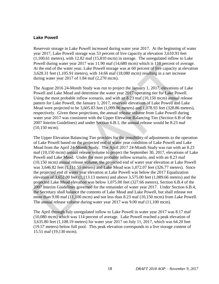#### **Lake Powell**

Reservoir storage in Lake Powell increased during water year 2017. At the beginning of water year 2017, Lake Powell storage was 53 percent of live capacity at elevation 3,610.93 feet (1,100.61 meters), with 12.82 maf (15,810 mcm) in storage. The unregulated inflow to Lake Powell during water year 2017 was 11.90 maf (14,680 mcm) which is 110 percent of average. At the end of the water year, Lake Powell storage was at 60 percent of live capacity at elevation 3,628.31 feet (1,105.91 meters), with 14.66 maf (18,080 mcm) resulting in a net increase during water year 2017 of 1.84 maf (2,270 mcm).

The August 2016 24-Month Study was run to project the January 1, 2017, elevations of Lake Powell and Lake Mead and determine the water year 2017 operating tier for Lake Powell. Using the most probable inflow scenario, and with an 8.23 maf (10,150 mcm) annual release pattern for Lake Powell, the January 1, 2017, reservoir elevations of Lake Powell and Lake Mead were projected to be 3,605.83 feet (1,099.06 meters) and 1,078.93 feet (328.86 meters), respectively. Given these projections, the annual release volume from Lake Powell during water year 2017 was consistent with the Upper Elevation Balancing Tier (Section 6.B of the 2007 Interim Guidelines) and under Section 6.B.1, the annual release would be 8.23 maf (10,150 mcm).

The Upper Elevation Balancing Tier provides for the possibility of adjustments to the operation of Lake Powell based on the projected end of water year condition of Lake Powell and Lake Mead from the April 24-Month Study. The April 2017 24-Month Study was run with an 8.23 maf (10,150 mcm) annual release volume to project the September 30, 2017, elevations of Lake Powell and Lake Mead. Under the most probable inflow scenario, and with an 8.23 maf (10,150 mcm) annual release volume, the projected end of water year elevation at Lake Powell was 3,646.82 feet (1,111.55 meters) and Lake Mead was 1,072.07 feet (326.77 meters). Since the projected end of water year elevation at Lake Powell was below the 2017 Equalization elevation of 3,652.00 feet (1,113.13 meters) and above 3,575.00 feet (1,089.66 meters) and the projected Lake Mead elevation was below 1,075.00 feet (327.66 meters), Section 6.B.4 of the 2007 Interim Guidelines governed for the remainder of water year 2017. Under Section 6.B.4, the Secretary shall balance the contents of Lake Mead and Lake Powell, but shall release not more than 9.00 maf (11,100 mcm) and not less than 8.23 maf (10,150 mcm) from Lake Powell. The annual release volume during water year 2017 was 9.00 maf (11,100 mcm). Powell during water year 2017 was 11.90 mai (14,680 mcm) which is 110 percent of aver<br>
21. At the end of the water year, Lake Powell storage was at 60 percent of live capacity at de<br>
3.628.31 feet (1,105.91 meters), with

The April through July unregulated inflow to Lake Powell in water year 2017 was 8.17 maf (10,080 mcm) which was 114 percent of average. Lake Powell reached a peak elevation of 3,635.80 feet (1,108.19 meters) for water year 2017 on July 11, 2017, which was 64.20 feet (19.57 meters) below full pool. This peak elevation corresponds to a live storage content of 15.51 maf (19, 130 mcm).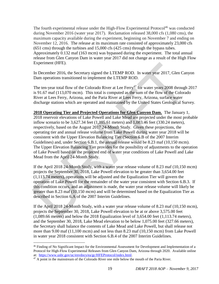The fourth experimental release under the High-Flow Experimental Protocol<sup>46</sup> was conducted during November 2016 (water year 2017). Reclamation released 38,000 cfs (1,080 cms), the maximum capacity available during the experiment, beginning on November 7 and ending on November 12, 2016. The release at its maximum rate consisted of approximately 23,000 cfs (651 cms) through the turbines and 15,000 cfs (425 cms) through the bypass tubes. Approximately 0.132 maf (163 mcm) was bypassed during the experiment. The total annual release from Glen Canyon Dam in water year 2017 did not change as a result of the High Flow Experiment (HFE).

In December 2016, the Secretary signed the LTEMP ROD. In water year 2017, Glen Canyon Dam operations transitioned to implement the LTEMP ROD.

The ten-year total flow of the Colorado River at Lee Ferry<sup>47</sup> for water years  $2008$  through 2017 is 91.67 maf (113,070 mcm). This total is computed as the sum of the flow of the Colorado River at Lees Ferry, Arizona, and the Paria River at Lees Ferry, Arizona, surface water discharge stations which are operated and maintained by the United States Geological Survey.

**2018 Operating Tier and Projected Operations for Glen Canyon Dam.** The January 1, 2018 reservoir elevations of Lake Powell and Lake Mead are projected under the most probable inflow scenario to be 3,627.34 feet (1,105.61 meters) and 1,083.46 feet (330.24 meters), respectively, based on the August 2017 24-Month Study. Given these projections, the operating tier and annual release volume from Lake Powell during water year 2018 will be consistent with the Upper Elevation Balancing Tier (Section 6.B of the 2007 Interim Guidelines) and, under Section 6.B.1, the annual release would be 8.23 maf (10,150 mcm). The Upper Elevation Balancing Tier provides for the possibility of adjustments to the operation of Lake Powell based on the projected end of water year conditions of Lake Powell and Lake Mead from the April 24-Month Study. Experiment (HFE).<br>
In December 2016, the Secretary signed the LTEMP ROD. In water year 2017, Glen Can<br>
Dam operations taristioned to implement the LTEMP ROD.<br>
The ten-year total flow of the Colorado River at Lee Ferry<sup>17</sup>

If the April 2018 24-Month Study, with a water year release volume of 8.23 maf (10,150 mcm) projects the September 30, 2018, Lake Powell elevation to be greater than 3,654.00 feet (1,113.74 meters), operations will be adjusted and the Equalization Tier will govern the operation of Lake Powell for the remainder of the water year consistent with Section 6.B.3. If this condition occurs, and an adjustment is made, the water year release volume will likely be greater than 8.23 maf (10,150 mcm) and will be determined based on the Equalization Tier as described in Section 6.A of the 2007 Interim Guidelines.

If the April 2018 24-Month Study, with a water year release volume of 8.23 maf (10,150 mcm), projects the September 30, 2018, Lake Powell elevation to be at or above 3,575.00 feet (1,089.66 meters) and below the 2018 Equalization level of 3,654.00 feet (1,113.74 meters), and the September 30, 2018, Lake Mead elevation to be below 1,075.00 feet (327.66 meters), the Secretary shall balance the contents of Lake Mead and Lake Powell, but shall release not more than 9.00 maf (11,100 mcm) and not less than 8.23 maf (10,150 mcm) from Lake Powell in water year 2018 consistent with Section 6.B.4 of the 2007 Interim Guidelines.

<sup>&</sup>lt;sup>46</sup> Finding of No Significant Impact for the Environmental Assessment for Development and Implementation of a Protocol for High-Flow Experimental Releases from Glen Canyon Dam, Arizona through 2020. Available online at: [https://www.usbr.gov/uc/envdocs/ea/gc/HFEProtocol/index.html.](https://www.usbr.gov/uc/envdocs/ea/gc/HFEProtocol/index.html) 

<sup>&</sup>lt;sup>47</sup> A point in the mainstream of the Colorado River one mile below the mouth of the Paria River.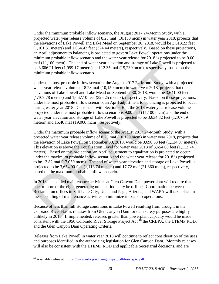Under the minimum probable inflow scenario, the August 2017 24-Month Study, with a projected water year release volume of 8.23 maf (10,150 mcm) in water year 2018, projects that the elevations of Lake Powell and Lake Mead on September 30, 2018, would be 3,613.22 feet (1,101.31 meters) and 1,064.43 feet (324.44 meters), respectively. Based on these projections, an April adjustment to balancing is projected to govern Lake Powell operations under the minimum probable inflow scenario and the water year release for 2018 is projected to be 9.00 maf (11,100 mcm). The end of water year elevation and storage of Lake Powell is projected to be 3,606.21 feet (1,099.17 meters) and 12.35 maf (15,230 mcm), respectively, based on the minimum probable inflow scenario.

Under the most probable inflow scenario, the August 2017 24-Month Study, with a projected water year release volume of 8.23 maf (10,150 mcm) in water year 2018, projects that the elevations of Lake Powell and Lake Mead on September 30, 2018, would be 3,641.00 feet (1,109.78 meters) and 1,067.10 feet (325.25 meters), respectively. Based on these projections, under the most probable inflow scenario, an April adjustment to balancing is projected to occur during water year 2018. Consistent with Section 6.B.4, the 2018 water year release volume projected under the most probable inflow scenario is 9.00 maf (11,100 mcm) and the end of water year elevation and storage of Lake Powell is projected to be 3,634.82 feet (1,107.89 meters) and 15.40 maf (19,000 mcm), respectively. mat (11,100 mem). The end of water year elevation and storage of Lake Powell is propect<br>nnimum probable inflow scenario, the August 2017 24-Month Study, with a project<br>minimum probable inflow scenario, the August 2017 24-

Under the maximum probable inflow scenario, the August 2017 24-Month Study, with a projected water year release volume of 8.23 maf (10,150 mcm) in water year 2018, projects that the elevation of Lake Powell on September 30, 2018, would be 3,690.53 feet (1,124.87 meters). This elevation is above the Equalization Level for water year 2018 of 3,654.00 feet (1,113.74 meters). Based on this projection, an April adjustment to equalization is projected to occur under the maximum probable inflow scenario and the water year release for 2018 is projected to be 13.82 maf (17,050 mcm). The end of water year elevation and storage of Lake Powell is projected to be  $3,654.00$  feet  $(1,113.74$  meters) and  $17.72$  maf  $(21,860$  mcm), respectively, based on the maximum probable inflow scenario.

In 2018, scheduled maintenance activities at Glen Canyon Dam powerplant will require that one or more of the eight generating units periodically be offline. Coordination between Reclamation offices in Salt Lake City, Utah, and Page, Arizona, and WAPA will take place in the scheduling of maintenance activities to minimize impacts to operations.

Because of less than full storage conditions in Lake Powell resulting from drought in the Colorado River Basin, releases from Glen Canyon Dam for dam safety purposes are highly unlikely in 2018. If implemented, releases greater than powerplant capacity would be made consistent with the 1956 Colorado River Storage Project Act, $48$  the CRBPA, the LTEMP ROD, and the Glen Canyon Dam Operating Criteria.

Releases from Lake Powell in water year 2018 will continue to reflect consideration of the uses and purposes identified in the authorizing legislation for Glen Canyon Dam. Monthly releases will also be consistent with the LTEMP ROD and applicable Secretarial decisions, and are

<sup>48</sup> Available online at: https://www.usbr.gov/lc/region/pao/pdfiles/crspuc.pdf.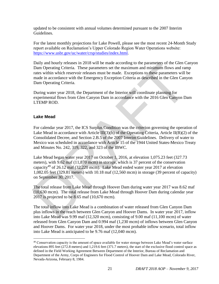updated to be consistent with annual volumes determined pursuant to the 2007 Interim Guidelines.

For the latest monthly projections for Lake Powell, please see the most recent 24-Month Study report available on Reclamation's Upper Colorado Region Water Operations website: [https://www.usbr.gov/uc/water/crsp/studies/index.html.](https://www.usbr.gov/uc/water/crsp/studies/index.html)

Daily and hourly releases in 2018 will be made according to the parameters of the Glen Canyon Dam Operating Criteria. These parameters set the maximum and minimum flows and ramp rates within which reservoir releases must be made. Exceptions to these parameters will be made in accordance with the Emergency Exception Criteria as described in the Glen Canyon Dam Operating Criteria.

During water year 2018, the Department of the Interior will coordinate planning for experimental flows from Glen Canyon Dam in accordance with the 2016 Glen Canyon Dam LTEMP ROD.

#### **Lake Mead**

 $\overline{a}$ 

For calendar year 2017, the ICS Surplus Condition was the criterion governing the operation of Lake Mead in accordance with Article III(3)(b) of the Operating Criteria, Article II(B)(2) of the Consolidated Decree, and Section 2.B.5 of the 2007 Interim Guidelines. Delivery of water to Mexico was scheduled in accordance with Article 15 of the 1944 United States-Mexico Treaty and Minutes No. 242, 319, 322, and 323 of the IBWC.

Lake Mead began water year 2017 on October 1, 2016, at elevation 1,075.23 feet (327.73 meters), with 9.62 maf (11,870 mcm) in storage, which is 37 percent of the conservation capacity<sup>49</sup> of 26.12 maf (32,220 mcm). Lake Mead ended water year 2017 at elevation 1,082.05 feet (329.81 meters) with 10.18 maf (12,560 mcm) in storage (39 percent of capacity) on September 30, 2017. Daily and hourity releases in 2018 will be made according to the parameters of the Gire C.<br>Dam Operating Criteria. These parameters set the maximum and minimum flows and ran<br>trates within which reservoir releases must be

The total release from Lake Mead through Hoover Dam during water year 2017 was 8.62 maf (10,630 mcm). The total release from Lake Mead through Hoover Dam during calendar year 2017 is projected to be 8.65 maf (10,670 mcm).

The total inflow into Lake Mead is a combination of water released from Glen Canyon Dam plus inflows in the reach between Glen Canyon and Hoover Dams. In water year 2017, inflow into Lake Mead was 9.99 maf (12,320 mcm), consisting of 9.00 maf (11,100 mcm) of water released from Glen Canyon Dam and 0.994 maf (1,230 mcm) of inflows between Glen Canyon and Hoover Dams. For water year 2018, under the most probable inflow scenario, total inflow into Lake Mead is anticipated to be 9.76 maf (12,040 mcm).

<sup>&</sup>lt;sup>49</sup> Conservation capacity is the amount of space available for water storage between Lake Mead's water surface elevations 895 feet (272.8 meters) and 1,219.6 feet (371.7 meters), the start of the exclusive flood control space as defined in the Field Working Agreement Between Department of the Interior, Bureau of Reclamation and Department of the Army, Corps of Engineers for Flood Control of Hoover Dam and Lake Mead, Colorado River, Nevada-Arizona, February 8, 1984.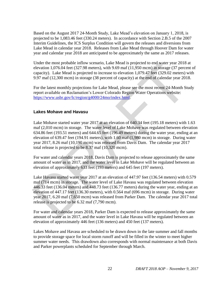Based on the August 2017 24-Month Study, Lake Mead's elevation on January 1, 2018, is projected to be 1,083.46 feet (330.24 meters). In accordance with Section 2.B.5 of the 2007 Interim Guidelines, the ICS Surplus Condition will govern the releases and diversions from Lake Mead in calendar year 2018. Releases from Lake Mead through Hoover Dam for water year and calendar year 2018 are anticipated to be approximately the same as 2017 releases.

Under the most probable inflow scenario, Lake Mead is projected to end water year 2018 at elevation 1,076.04 feet (327.98 meters), with 9.69 maf (11,950 mcm) in storage (37 percent of capacity). Lake Mead is projected to increase to elevation 1,079.47 feet (329.02 meters) with 9.97 maf (12,300 mcm) in storage (38 percent of capacity) at the end of calendar year 2018.

For the latest monthly projections for Lake Mead, please see the most recent 24-Month Study report available on Reclamation's Lower Colorado Region Water Operations website: https://www.usbr.gov/lc/region/g4000/24mo/index.html.

#### **Lakes Mohave and Havasu**

Lake Mohave started water year 2017 at an elevation of 640.34 feet (195.18 meters) with 1.63 maf (2,010 mcm) in storage. The water level of Lake Mohave was regulated between elevation 634.86 feet (193.51 meters) and 644.65 feet (196.49 meters) during the water year, ending at an elevation of 639.47 feet (194.91 meters), with 1.60 maf (1,980 mcm) in storage. During water year 2017, 8.26 maf (10,190 mcm) was released from Davis Dam. The calendar year 2017 total release is projected to be 8.37 maf (10,320 mcm).

For water and calendar years 2018, Davis Dam is projected to release approximately the same amount of water as in 2017, and the water level in Lake Mohave will be regulated between an elevation of approximately 633 feet (193 meters) and 645 feet (197 meters).

Lake Havasu started water year 2017 at an elevation of 447.97 feet (136.54 meters) with 0.579 maf (714 mcm) in storage. The water level of Lake Havasu was regulated between elevation 446.33 feet (136.04 meters) and 448.73 feet (136.77 meters) during the water year, ending at an elevation of 447.17 feet (136.30 meters), with 0.564 maf (696 mcm) in storage. During water year 2017, 6.20 maf (7,650 mcm) was released from Parker Dam. The calendar year 2017 total release is projected to be 6.32 maf (7,790 mcm). Under the most probable influor scenario, Lake Mead is projected to end water year 2018<br>
elevation 1.076.04 feet (327.98 meters), with 9.69 maf (11,950 mcm) in storage (37 perce<br>
equatity). Lake Mead is projected to incre

For water and calendar years 2018, Parker Dam is expected to release approximately the same amount of water as in 2017, and the water level in Lake Havasu will be regulated between an elevation of approximately 446 feet (136 meters) and 450 feet (137 meters).

Lakes Mohave and Havasu are scheduled to be drawn down in the late summer and fall months to provide storage space for local storm runoff and will be filled in the winter to meet higher summer water needs. This drawdown also corresponds with normal maintenance at both Davis and Parker powerplants scheduled for September through March.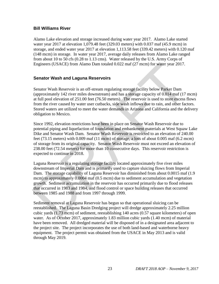#### **Bill Williams River**

Alamo Lake elevation and storage increased during water year 2017. Alamo Lake started water year 2017 at elevation 1,079.48 feet (329.03 meters) with 0.037 maf (45.9 mcm) in storage, and ended water year 2017 at elevation 1,113.58 feet (339.42 meters) with 0.120 maf (148 mcm) in storage. In water year 2017, average daily releases from Alamo Lake ranged from about 10 to 50 cfs (0.28 to 1.13 cms). Water released by the U.S. Army Corps of Engineers (USACE) from Alamo Dam totaled 0.022 maf (27 mcm) for water year 2017.

#### **Senator Wash and Laguna Reservoirs**

Senator Wash Reservoir is an off-stream regulating storage facility below Parker Dam (approximately 142 river miles downstream) and has a storage capacity of 0.014 maf (17 mcm) at full pool elevation of 251.00 feet (76.50 meters). The reservoir is used to store excess flows from the river caused by water user cutbacks, side wash inflows due to rain, and other factors. Stored waters are utilized to meet the water demands in Arizona and California and the delivery obligation to Mexico.

Since 1992, elevation restrictions have been in place on Senator Wash Reservoir due to potential piping and liquefaction of foundation and embankment materials at West Squaw Lake Dike and Senator Wash Dam. Senator Wash Reservoir is restricted to an elevation of 240.00 feet (73.15 meters) with 0.009 maf (11 mcm) of storage, a loss of about 0.005 maf (6.2 mcm) of storage from its original capacity. Senator Wash Reservoir must not exceed an elevation of 238.00 feet (72.54 meters) for more than 10 consecutive days. This reservoir restriction is expected to continue in 2018. Engineers (USACE) from Alamo Dam totaled 0.022 maf (27 mcm) for water year 2017.<br> **Senator Wash and Laguna Reservoirs**<br>
Senator Wash **and Laguna Reservoirs**<br>
Senator Wash Reservoir is an off-stream regulating storage faci

Laguna Reservoir is a regulating storage facility located approximately five river miles downstream of Imperial Dam and is primarily used to capture sluicing flows from Imperial Dam. The storage capability of Laguna Reservoir has diminished from about 0.0015 maf (1.9 mcm) to approximately 0.0004 maf (0.5 mcm) due to sediment accumulation and vegetation growth. Sediment accumulation in the reservoir has occurred primarily due to flood releases that occurred in 1983 and 1984, and flood control or space building releases that occurred between 1985 and 1988 and from 1997 through 1999.

Sediment removal at Laguna Reservoir has begun so that operational sluicing can be reestablished. The Laguna Basin Dredging project will dredge approximately 2.25 million cubic yards (1.73 mcm) of sediment, reestablishing 140 acres (0.57 square kilometers) of open water. As of October 2017, approximately 1.83 million cubic yards (1.40 mcm) of material have been removed. All dredged material will be disposed of in a designated area adjacent to the project site. The project incorporates the use of both land-based and waterborne heavy equipment. The project permit was obtained from the USACE in May 2013 and is valid through May 201 9.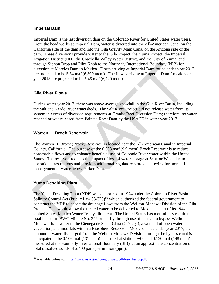#### **Imperial Dam**

Imperial Dam is the last diversion dam on the Colorado River for United States water users. From the head works at Imperial Dam, water is diverted into the All-American Canal on the California side of the dam and into the Gila Gravity Main Canal on the Arizona side of the dam. These diversions provide water to the Gila Project, the Yuma Project, the Imperial Irrigation District (IID), the Coachella Valley Water District, and the City of Yuma, and through Siphon Drop and Pilot Knob to the Northerly International Boundary (NIB) for diversion at Morelos Dam in Mexico. Flows arriving at Imperial Dam for calendar year 2017 are projected to be 5.34 maf (6,590 mcm). The flows arriving at Imperial Dam for calendar year 2018 are projected to be 5.45 maf (6,720 mcm).

#### **Gila River Flows**

During water year 2017, there was above average snowfall in the Gila River Basin, including the Salt and Verde River watersheds. The Salt River Project did not release water from its system in excess of diversion requirements at Granite Reef Diversion Dam; therefore, no water reached or was released from Painted Rock Dam by the USACE in water year 2017.

#### **Warren H. Brock Reservoir**

The Warren H. Brock (Brock) Reservoir is located near the All-American Canal in Imperial County, California. The purpose of the 0.008 maf (9.9 mcm) Brock Reservoir is to reduce nonstorable flows and to enhance beneficial use of Colorado River water within the United States. The reservoir reduces the impact of loss of water storage at Senator Wash due to operational restrictions and provides additional regulatory storage, allowing for more efficient management of water below Parker Dam. through Siphon Drop and Pilot Knob to the Northerly International Boundary (NIB) for<br>diversion at Morelos Dam in Mexico. Flows arriving at Imperial Dam for calendar year 2<br>are projected to be 5.34 maf (6,590 mem). The flo

#### **Yuma Desalting Plant**

 $\overline{a}$ 

The Yuma Desalting Plant (YDP) was authorized in 1974 under the Colorado River Basin Salinity Control Act (Public Law  $93-320$ )<sup>50</sup> which authorized the federal government to construct the YDP to desalt the drainage flows from the Wellton-Mohawk Division of the Gila Project. This would allow the treated water to be delivered to Mexico as part of its 1944 United States-Mexico Water Treaty allotment. The United States has met salinity requirements established in IBWC Minute No. 242 primarily through use of a canal to bypass Wellton-Mohawk drain water to the Ciénega de Santa Clara (Ciénega), a wetland of open water, vegetation, and mudflats within a Biosphere Reserve in Mexico. In calendar year 2017, the amount of water discharged from the Wellton-Mohawk Division through the bypass canal is anticipated to be 0.106 maf (131 mcm) measured at station 0+00 and 0.120 maf (148 mcm) measured at the Southerly International Boundary (SIB), at an approximate concentration of total dissolved solids of 2,400 parts per million (ppm).

<sup>&</sup>lt;sup>50</sup> Available online at: https://www.usbr.gov/lc/region/pao/pdfiles/crbsalct.pdf.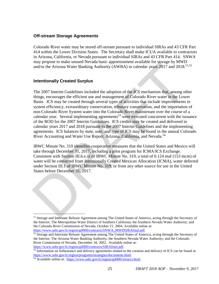#### **Off-stream Storage Agreements**

Colorado River water may be stored off-stream pursuant to individual SIRAs and 43 CFR Part 414 within the Lower Division States. The Secretary shall make ICUA available to contractors in Arizona, California, or Nevada pursuant to individual SIRAs and 43 CFR Part 414. SNWA may propose to make unused Nevada basic apportionment available for storage by MWD and/or the Arizona Water Banking Authority (AWBA) in calendar years 2017 and 2018.<sup>51,52</sup>

#### **Intentionally Created Surplus**

 $\overline{a}$ 

The 2007 Interim Guidelines included the adoption of the ICS mechanism that, among other things, encourages the efficient use and management of Colorado River water in the Lower Basin. ICS may be created through several types of activities that include improvements in system efficiency, extraordinary conservation, tributary conservation, and the importation of non-Colorado River System water into the Colorado River mainstream over the course of a calendar year. Several implementing agreements<sup>53</sup> were executed concurrent with the issuance of the ROD for the 2007 Interim Guidelines. ICS credits may be created and delivered in calendar years 2017 and 2018 pursuant to the 2007 Interim Guidelines and the implementing agreements. ICS balances by state, user, and type of ICS may be found in the annual Colorado River Accounting and Water Use Report, Arizona, California, and Nevada.<sup>54</sup> may propose to make unset netwate a osses approachment a variance or source of the Arizona Water Banking Authority (AWBA) in calendar years 2017 and 2018.<sup>21</sup><br>Intentionally Created Surplus<br>The 2007 Interim Guidelines inclu

IBWC Minute No. 319 identifies cooperative measures that the United States and Mexico will take through December 31, 2017, including a pilot program for ICMA/ICS Exchange. Consistent with Section III.6.e.iii of IBWC Minute No. 319, a total of 0.124 maf (153 mcm) of water will be converted from Intentionally Created Mexican Allocation (ICMA), water deferred under Section III.1 of IBWC Minute No. 319, or from any other source for use in the United States before December 31, 2017.

<sup>51</sup> Storage and Interstate Release Agreement among The United States of America, acting through the Secretary of the Interior; The Metropolitan Water District of Southern California; the Southern Nevada Water Authority; and the Colorado River Commission of Nevada, October 21, 2004. Available online at: [https://www.usbr.gov/lc/region/g4000/contracts/SNWA\\_MWDSIRAfinal.pdf.](https://www.usbr.gov/lc/region/g4000/contracts/SNWA_MWDSIRAfinal.pdf)

<sup>52</sup> Storage and Interstate Release Agreement among The United States of America, acting through the Secretary of the Interior; The Arizona Water Banking Authority; the Southern Nevada Water Authority; and the Colorado River Commission of Nevada, December 18, 2002. Available online at: [https://www.usbr.gov/lc/region/g4000/contracts/SIRAfinal.pdf.](https://www.usbr.gov/lc/region/g4000/contracts/SIRAfinal.pdf)

<sup>&</sup>lt;sup>53</sup> Information on forbearance and delivery agreements related to the creation and delivery of ICS can be found at: [https://www.usbr.gov/lc/region/programs/strategies/documents.html.](https://www.usbr.gov/lc/region/programs/strategies/documents.html)

<sup>54</sup> Available online at: [https://www.usbr.gov/lc/region/g4000/wtracct.html.](https://www.usbr.gov/lc/region/g4000/wtracct.html)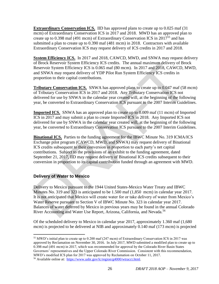**Extraordinary Conservation ICS.** IID has approved plans to create up to 0.025 maf (31) mcm) of Extraordinary Conservation ICS in 2017 and 2018. MWD has an approved plan to create up to 0.398 maf (491 mcm) of Extraordinary Conservation ICS in  $2017^{55}$  and has submitted a plan to create up to 0.390 maf (481 mcm) in 2018. Contractors with available Extraordinary Conservation ICS may request delivery of ICS credits in 2017 and 2018.

**System Efficiency ICS.** In 2017 and 2018, CAWCD, MWD, and SNWA may request delivery of Brock Reservoir System Efficiency ICS credits. The annual maximum delivery of Brock Reservoir System Efficiency ICS is 0.065 maf (80 mcm). In 2017 and 2018, CAWCD, MWD, and SNWA may request delivery of YDP Pilot Run System Efficiency ICS credits in proportion to their capital contributions.

**Tributary Conservation ICS.** SNWA has approved plans to create up to 0.047 maf (58 mcm) of Tributary Conservation ICS in 2017 and 2018. Any Tributary Conservation ICS not delivered for use by SNWA in the calendar year created will, at the beginning of the following year, be converted to Extraordinary Conservation ICS pursuant to the 2007 Interim Guidelines.

**Imported ICS.** SNWA has an approved plan to create up to 0.009 maf (11 mcm) of Imported ICS in 2017 and may submit a plan to create Imported ICS in 2018. Any Imported ICS not delivered for use by SNWA in the calendar year created will, at the beginning of the following year, be converted to Extraordinary Conservation ICS pursuant to the 2007 Interim Guidelines.

**Binational ICS.** Parties to the funding agreement for the IBWC Minute No. 319 ICMA/ICS Exchange pilot program (CAWCD, MWD, and SNWA) may request delivery of Binational ICS credits subsequent to their conversion in proportion to each party's net capital contributions. Subject to the provisions of an exhibit to the funding agreement, dated September 21, 2017, IID may request delivery of Binational ICS credits subsequent to their conversion in proportion to its capital contribution funded through an agreement with MWD.

#### **Delivery of Water to Mexico**

Delivery to Mexico pursuant to the 1944 United States-Mexico Water Treaty and IBWC Minutes No. 319 and 323 is anticipated to be 1.500 maf (1,850 mcm) in calendar year 2017. It is not anticipated that Mexico will create water for or take delivery of water from Mexico's Water Reserve pursuant to Section V of IBWC Minute No. 323 in calendar year 2017. Balances of water deferred by Mexico in previous years may be found in the annual Colorado River Accounting and Water Use Report, Arizona, California, and Nevada.<sup>56</sup> of Brock Reservoir System Efficiency ICS credits. The annual maximum delivery of Brock<br>Reservoir System Efficiency ICS is 0.065 maf (80 mcm). In 2017 and 2018, CAWCD, M<br>and SNWA may request delivery of YDP Pilot Run Syste

Of the scheduled delivery to Mexico in calendar year 2017, approximately 1.360 maf (1,680 mcm) is projected to be delivered at NIB and approximately 0.140 maf (173 mcm) is projected

 $\overline{a}$ <sup>55</sup> MWD's initial plan to create up to 0.200 maf (247 mcm) of Extraordinary Conservation ICS in 2017 was approved by Reclamation on November 30, 2016. In July 2017, MWD submitted a modified plan to create up to 0.398 maf (491 mcm) in 2017, which was recommended for approval by the Colorado River Basin States Governors' representatives and the Upper Colorado River Commission. Consistent with this recommendation, MWD's modified ICS plan for 2017 was approved by Reclamation on October 11, 2017. <sup>56</sup> Available online at: [https://www.usbr.gov/lc/region/g4000/wtracct.html.](https://www.usbr.gov/lc/region/g4000/wtracct.html)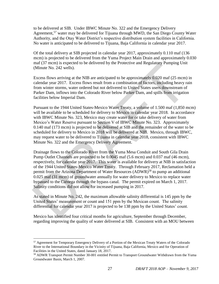to be delivered at SIB. Under IBWC Minute No. 322 and the Emergency Delivery Agreement,<sup>57</sup> water may be delivered for Tijuana through MWD, the San Diego County Water Authority, and the Otay Water District's respective distribution system facilities in California. No water is anticipated to be delivered to Tijuana, Baja California in calendar year 2017.

Of the total delivery at SIB projected in calendar year 2017, approximately 0.110 maf (136 mcm) is projected to be delivered from the Yuma Project Main Drain and approximately 0.030 maf (37 mcm) is expected to be delivered by the Protective and Regulatory Pumping Unit (Minute No. 242 wells).

Excess flows arriving at the NIB are anticipated to be approximately 0.020 maf (25 mcm) in calendar year 2017. Excess flows result from a combination of factors, including heavy rain from winter storms, water ordered but not delivered to United States users downstream of Parker Dam, inflows into the Colorado River below Parker Dam, and spills from irrigation facilities below Imperial Dam.

Pursuant to the 1944 United States-Mexico Water Treaty, a volume of 1.500 maf (1,850 mcm) will be available to be scheduled for delivery to Mexico in calendar year 2018. In accordance with IBWC Minute No. 323, Mexico may create water for or take delivery of water from Mexico's Water Reserve pursuant to Section V of IBWC Minute No. 323. Approximately 0.140 maf (173 mcm) is projected to be delivered at SIB and the remainder of the water to be scheduled for delivery to Mexico in 2018 will be delivered at NIB. Mexico, through IBWC, may request water to be delivered to Tijuana in calendar year 2018, consistent with IBWC Minute No. 322 and the Emergency Delivery Agreement.

Drainage flows to the Colorado River from the Yuma Mesa Conduit and South Gila Drain Pump Outlet Channels are projected to be 0.0045 maf (5.6 mcm) and 0.037 maf (46 mcm), respectively, for calendar year 2017. This water is available for delivery at NIB in satisfaction of the 1944 United States-Mexico Water Treaty. Through February 2017, Reclamation held a permit from the Arizona Department of Water Resources (ADWR)<sup>58</sup> to pump an additional 0.025 maf (31 mcm) of groundwater annually for water delivery to Mexico to replace water bypassed to the Ciénega through the bypass canal. The permit expired on March 1, 2017. Salinity conditions did not allow for increased pumping in 2017. mat (37 men) is expected to be detivered by the Protective and Regulatory Pumping Unit<br>(Mimute No. 242 wells).<br>
Excess flows arriving at the NIB are anticipated to be approximately 0.020 maf (25 mem)<br>
calendar year 2017.

As stated in Minute No. 242, the maximum allowable salinity differential is 145 ppm by the United States' measurement or count and 151 ppm by the Mexican count. The salinity differential for calendar year 2017 is projected to be 138 ppm by the United States' count.

Mexico has identified four critical months for agriculture, September through December, regarding improving the quality of water delivered at SIB. Consistent with an MOU between

<sup>57</sup> Agreement for Temporary Emergency Delivery of a Portion of the Mexican Treaty Waters of the Colorado River to the International Boundary in the Vicinity of Tijuana, Baja California, Mexico and for Operation of Facilities in the United States, dated January 18, 2017.

<sup>&</sup>lt;sup>58</sup> ADWR Transport Permit Number 30-001 entitled Permit to Transport Groundwater Withdrawn from the Yuma Groundwater Basin, March 1, 2007.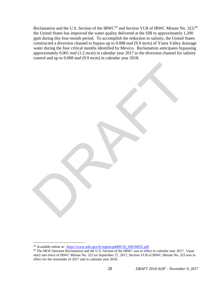Reclamation and the U.S. Section of the IBWC $^{59}$  and Section VI.B of IBWC Minute No. 323,<sup>60</sup> the United States has improved the water quality delivered at the SIB to approximately 1,200 ppm during this four-month period. To accomplish the reduction in salinity, the United States constructed a diversion channel to bypass up to 0.008 maf (9.9 mcm) of Yuma Valley drainage water during the four critical months identified by Mexico. Reclamation anticipates bypassing approximately 0.001 maf (1.2 mcm) in calendar year 2017 to the diversion channel for salinity control and up to 0.008 maf (9.9 mcm) in calendar year 2018.

RAFT

<sup>59</sup> Available online at: [https://www.usbr.gov/lc/region/g4000/10\\_2001MOU.pdf.](https://www.usbr.gov/lc/region/g4000/10_2001MOU.pdf)

<sup>&</sup>lt;sup>60</sup> The MOU between Reclamation and the U.S. Section of the IBWC was in effect in calendar year 2017. Upon entry into force of IBWC Minute No. 323 on September 27, 2017, Section VI.B of IBWC Minute No. 323 was in effect for the remainder of 2017 and in calendar year 2018.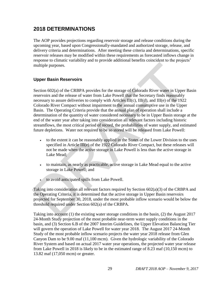## **2018 DETERMINATIONS**

The AOP provides projections regarding reservoir storage and release conditions during the upcoming year, based upon Congressionally-mandated and authorized storage, release, and delivery criteria and determinations. After meeting these criteria and determinations, specific reservoir releases may be modified within these requirements as forecasted inflows change in response to climatic variability and to provide additional benefits coincident to the projects' multiple purposes.

#### **Upper Basin Reservoirs**

Section 602(a) of the CRBPA provides for the storage of Colorado River water in Upper Basin reservoirs and the release of water from Lake Powell that the Secretary finds reasonably necessary to assure deliveries to comply with Articles III(c), III(d), and III(e) of the 1922 Colorado River Compact without impairment to the annual consumptive use in the Upper Basin. The Operating Criteria provide that the annual plan of operation shall include a determination of the quantity of water considered necessary to be in Upper Basin storage at the end of the water year after taking into consideration all relevant factors including historic streamflows, the most critical period of record, the probabilities of water supply, and estimated future depletions. Water not required to be so stored will be released from Lake Powell: multiple purposes.<br> **Upper Basin Reservoirs**<br>
Section 602(a) of the CRBPA provides for the storage of Colorado River water in Upper reservoirs and the relase of vactor from Lake Powell that the Secretary finals research i

- to the extent it can be reasonably applied in the States of the Lower Division to the uses specified in Article III(e) of the 1922 Colorado River Compact, but these releases will not be made when the active storage in Lake Powell is less than the active storage in Lake Mead;
- to maintain, as nearly as practicable, active storage in Lake Mead equal to the active storage in Lake Powell; and
	- to avoid anticipated spills from Lake Powell.

Taking into consideration all relevant factors required by Section 602(a)(3) of the CRBPA and the Operating Criteria, it is determined that the active storage in Upper Basin reservoirs projected for September 30, 2018, under the most probable inflow scenario would be below the threshold required under Section 602(a) of the CRBPA.

Taking into account (1) the existing water storage conditions in the basin, (2) the August 2017 24-Month Study projection of the most probable near-term water supply conditions in the basin, and (3) Section 6.B of the 2007 Interim Guidelines, the Upper Elevation Balancing Tier will govern the operation of Lake Powell for water year 2018. The August 2017 24-Month Study of the most probable inflow scenario projects the water year 2018 release from Glen Canyon Dam to be 9.00 maf (11,100 mcm). Given the hydrologic variability of the Colorado River System and based on actual 2017 water year operations, the projected water year release from Lake Powell in 2018 is likely to be in the estimated range of 8.23 maf (10,150 mcm) to 13.82 maf (17,050 mcm) or greater.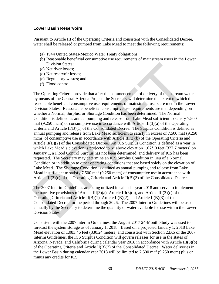#### **Lower Basin Reservoirs**

Pursuant to Article III of the Operating Criteria and consistent with the Consolidated Decree, water shall be released or pumped from Lake Mead to meet the following requirements:

- (a) 1944 United States-Mexico Water Treaty obligations;
- (b) Reasonable beneficial consumptive use requirements of mainstream users in the Lower Division States;
- (c) Net river losses;
- (d) Net reservoir losses;
- (e) Regulatory wastes; and
- (f) Flood control.

The Operating Criteria provide that after the commencement of delivery of mainstream water by means of the Central Arizona Project, the Secretary will determine the extent to which the reasonable beneficial consumptive use requirements of mainstream users are met in the Lower Division States. Reasonable beneficial consumptive use requirements are met depending on whether a Normal, Surplus, or Shortage Condition has been determined. The Normal Condition is defined as annual pumping and release from Lake Mead sufficient to satisfy 7.500 maf  $(9,250 \text{ mcm})$  of consumptive use in accordance with Article III $(3)(a)$  of the Operating Criteria and Article II(B)(1) of the Consolidated Decree. The Surplus Condition is defined as annual pumping and release from Lake Mead sufficient to satisfy in excess of 7.500 maf (9,250 mcm) of consumptive use in accordance with Article III(3)(b) of the Operating Criteria and Article II(B)(2) of the Consolidated Decree. An ICS Surplus Condition is defined as a year in which Lake Mead's elevation is projected to be above elevation 1,075.0 feet (327.7 meters) on January 1, a Flood Control Surplus has not been determined, and delivery of ICS has been requested. The Secretary may determine an ICS Surplus Condition in lieu of a Normal Condition or in addition to other operating conditions that are based solely on the elevation of Lake Mead. The Shortage Condition is defined as annual pumping and release from Lake Mead insufficient to satisfy 7.500 maf (9,250 mcm) of consumptive use in accordance with Article III(3)(c) of the Operating Criteria and Article II(B)(3) of the Consolidated Decree. Division States;<br>
(c) Net river losses;<br>
(d) Net reservoir losses;<br>
(e) Regiudatory wastes; and<br>
(f) Flood control.<br>
The Operating Criteria provide that after the commencement of delivery of mainstream w<br>
by means of the

The 2007 Interim Guidelines are being utilized in calendar year 2018 and serve to implement the narrative provisions of Article III(3)(a), Article III(3)(b), and Article III(3)(c) of the Operating Criteria and Article II(B)(1), Article II(B)(2), and Article II(B)(3) of the Consolidated Decree for the period through 2026. The 2007 Interim Guidelines will be used annually by the Secretary to determine the quantity of water available for use within the Lower Division States.

Consistent with the 2007 Interim Guidelines, the August 2017 24-Month Study was used to forecast the system storage as of January 1, 2018. Based on a projected January 1, 2018 Lake Mead elevation of 1,083.46 feet (330.24 meters) and consistent with Section 2.B.5 of the 2007 Interim Guidelines, the ICS Surplus Condition will govern releases for use in the states of Arizona, Nevada, and California during calendar year 2018 in accordance with Article III(3)(b) of the Operating Criteria and Article II(B)(2) of the Consolidated Decree. Water deliveries in the Lower Basin during calendar year 2018 will be limited to 7.500 maf (9,250 mcm) plus or minus any credits for ICS.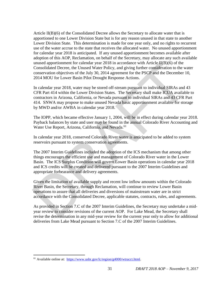Article II(B)(6) of the Consolidated Decree allows the Secretary to allocate water that is apportioned to one Lower Division State but is for any reason unused in that state to another Lower Division State. This determination is made for one year only, and no rights to recurrent use of the water accrue to the state that receives the allocated water. No unused apportionment for calendar year 2018 is anticipated. If any unused apportionment becomes available after adoption of this AOP, Reclamation, on behalf of the Secretary, may allocate any such available unused apportionment for calendar year 2018 in accordance with Article II(B)(6) of the Consolidated Decree, the Unused Water Policy, and giving further consideration to the water conservation objectives of the July 30, 2014 agreement for the PSCP and the December 10, 2014 MOU for Lower Basin Pilot Drought Response Actions.

In calendar year 2018, water may be stored off-stream pursuant to individual SIRAs and 43 CFR Part 414 within the Lower Division States. The Secretary shall make ICUA available to contractors in Arizona, California, or Nevada pursuant to individual SIRAs and 43 CFR Part 414. SNWA may propose to make unused Nevada basic apportionment available for storage by MWD and/or AWBA in calendar year 2018.

The IOPP, which became effective January 1, 2004, will be in effect during calendar year 2018. Payback balances by state and user may be found in the annual Colorado River Accounting and Water Use Report, Arizona, California, and Nevada.<sup>61</sup>

In calendar year 2018, conserved Colorado River water is anticipated to be added to system reservoirs pursuant to system conservation agreements.

The 2007 Interim Guidelines included the adoption of the ICS mechanism that among other things encourages the efficient use and management of Colorado River water in the Lower Basin. The ICS Surplus Condition will govern Lower Basin operations in calendar year 2018 and ICS credits will be created and delivered pursuant to the 2007 Interim Guidelines and appropriate forbearance and delivery agreements. unased apportionment for calendar gear 2018 in accordance with Article I(IB)(6) of the<br>Consolidated Decree, the Unused Water Policy, and giving further consideration to the we<br>onservation objectives of the July 30, 2014 ag

Given the limitation of available supply and recent low inflow amounts within the Colorado River Basin, the Secretary, through Reclamation, will continue to review Lower Basin operations to assure that all deliveries and diversions of mainstream water are in strict accordance with the Consolidated Decree, applicable statutes, contracts, rules, and agreements.

As provided in Section 7.C of the 2007 Interim Guidelines, the Secretary may undertake a midyear review to consider revisions of the current AOP. For Lake Mead, the Secretary shall revise the determination in any mid-year review for the current year only to allow for additional deliveries from Lake Mead pursuant to Section 7.C of the 2007 Interim Guidelines.

<sup>&</sup>lt;sup>61</sup> Available online at: https://www.usbr.gov/lc/region/g4000/wtracct.html.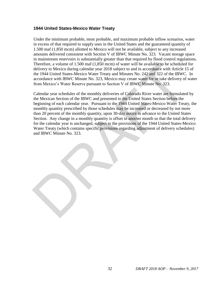#### **1944 United States-Mexico Water Treaty**

Under the minimum probable, most probable, and maximum probable inflow scenarios, water in excess of that required to supply uses in the United States and the guaranteed quantity of 1.500 maf (1,850 mcm) allotted to Mexico will not be available, subject to any increased amounts delivered consistent with Section V of IBWC Minute No. 323. Vacant storage space in mainstream reservoirs is substantially greater than that required by flood control regulations. Therefore, a volume of 1.500 maf (1,850 mcm) of water will be available to be scheduled for delivery to Mexico during calendar year 2018 subject to and in accordance with Article 15 of the 1944 United States-Mexico Water Treaty and Minutes No. 242 and 322 of the IBWC. In accordance with IBWC Minute No. 323, Mexico may create water for or take delivery of water from Mexico's Water Reserve pursuant to Section V of IBWC Minute No. 323.

Calendar year schedules of the monthly deliveries of Colorado River water are formulated by the Mexican Section of the IBWC and presented to the United States Section before the beginning of each calendar year. Pursuant to the 1944 United States-Mexico Water Treaty, the monthly quantity prescribed by those schedules may be increased or decreased by not more than 20 percent of the monthly quantity, upon 30-day notice in advance to the United States Section. Any change in a monthly quantity is offset in another month so that the total delivery for the calendar year is unchanged, subject to the provisions of the 1944 United States-Mexico Water Treaty (which contains specific provisions regarding adjustment of delivery schedules) and IBWC Minute No. 323. Therefore, a volume of 1.500 mar (1.850 men) of water will be available to be scheduled<br>Therefore, a volume of the scheduled the schedule delivery to Mexico during calendary ear 2018 subject to and in accordance with Artic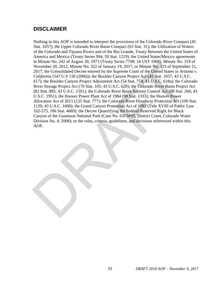## **DISCLAIMER**

Nothing in this AOP is intended to interpret the provisions of the Colorado River Compact (45 Stat. 1057); the Upper Colorado River Basin Compact (63 Stat. 31); the Utilization of Waters of the Colorado and Tijuana Rivers and of the Rio Grande, Treaty Between the United States of America and Mexico (Treaty Series 994, 59 Stat. 1219); the United States/Mexico agreements in Minute No. 242 of August 30, 1973 (Treaty Series 7708; 24 UST 1968), Minute No. 319 of November 20, 2012, Minute No. 322 of January 19, 2017, or Minute No. 323 of September 21, 2017; the Consolidated Decree entered by the Supreme Court of the United States in *Arizona v. California* (547 U.S 150 (2006)); the Boulder Canyon Project Act (45 Stat. 1057; 43 U.S.C. 617); the Boulder Canyon Project Adjustment Act (54 Stat. 774; 43 U.S.C. 618a); the Colorado River Storage Project Act (70 Stat. 105; 43 U.S.C. 620); the Colorado River Basin Project Act (82 Stat. 885; 43 U.S.C. 1501); the Colorado River Basin Salinity Control Act (88 Stat. 266; 43 U.S.C. 1951); the Hoover Power Plant Act of 1984 (98 Stat. 1333); the Hoover Power Allocation Act of 2011 (125 Stat. 777); the Colorado River Floodway Protection Act (100 Stat. 1129; 43 U.S.C. 1600); the Grand Canyon Protection Act of 1992 (Title XVIII of Public Law 102-575, 106 Stat. 4669); the Decree Quantifying the Federal Reserved Right for Black Canyon of the Gunnison National Park (Case No. 01CW05, District Court, Colorado Water Division No. 4, 2008); or the rules, criteria, guidelines, and decisions referenced within this AOP. If smaller to 2.21 of Register of the Boulded Decree entered by the SNOO: *22* OF A Minute No. 322 of January 19, 2017, or Minute No. 323 of September 20, 2012, Minute No. 322 of January 19, 2017, or Minute No. 323 of Sept